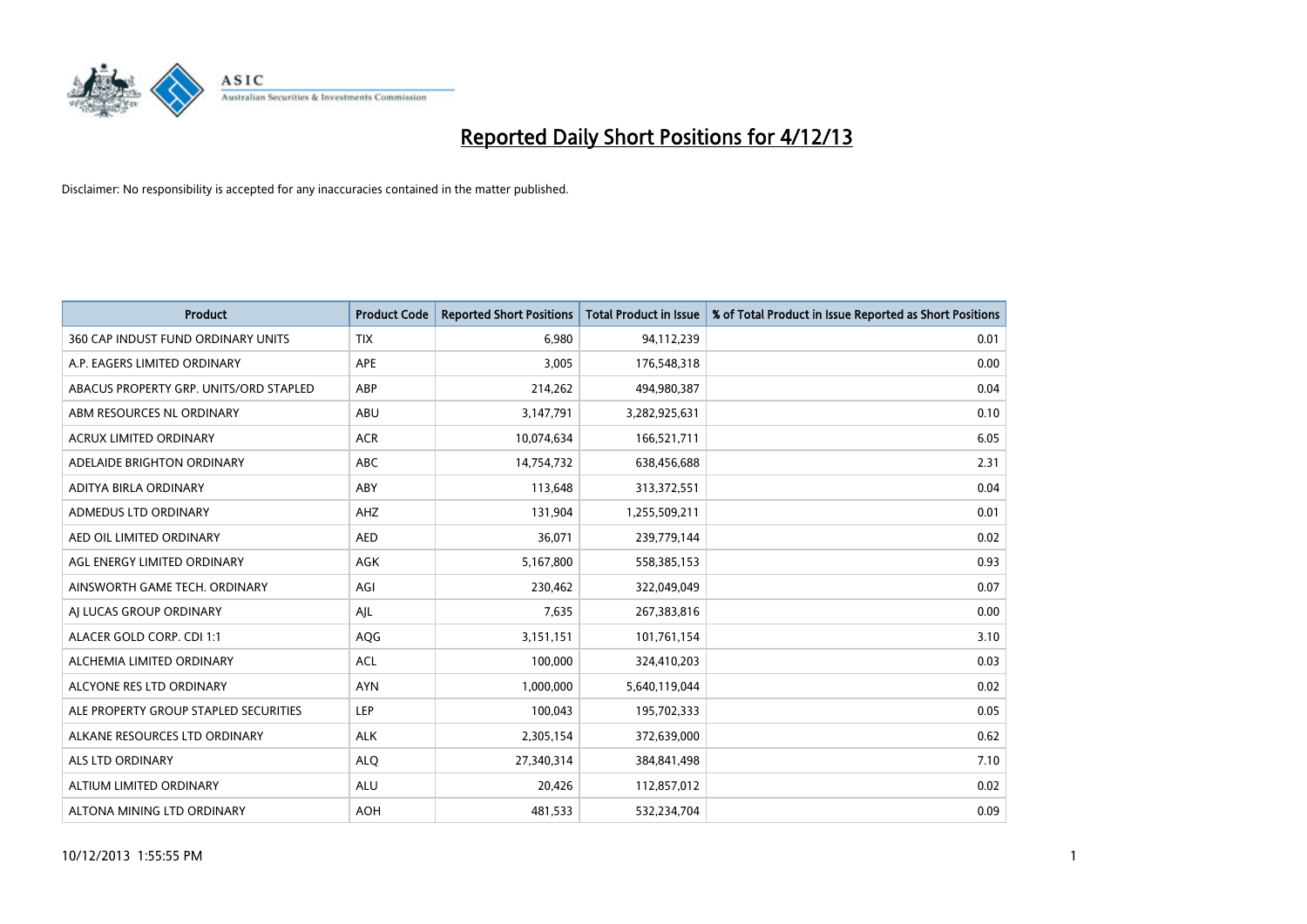

| <b>Product</b>                         | <b>Product Code</b> | <b>Reported Short Positions</b> | <b>Total Product in Issue</b> | % of Total Product in Issue Reported as Short Positions |
|----------------------------------------|---------------------|---------------------------------|-------------------------------|---------------------------------------------------------|
| 360 CAP INDUST FUND ORDINARY UNITS     | <b>TIX</b>          | 6,980                           | 94,112,239                    | 0.01                                                    |
| A.P. EAGERS LIMITED ORDINARY           | APE                 | 3,005                           | 176,548,318                   | 0.00                                                    |
| ABACUS PROPERTY GRP. UNITS/ORD STAPLED | ABP                 | 214,262                         | 494,980,387                   | 0.04                                                    |
| ABM RESOURCES NL ORDINARY              | ABU                 | 3,147,791                       | 3,282,925,631                 | 0.10                                                    |
| <b>ACRUX LIMITED ORDINARY</b>          | <b>ACR</b>          | 10,074,634                      | 166,521,711                   | 6.05                                                    |
| ADELAIDE BRIGHTON ORDINARY             | <b>ABC</b>          | 14,754,732                      | 638,456,688                   | 2.31                                                    |
| ADITYA BIRLA ORDINARY                  | ABY                 | 113,648                         | 313,372,551                   | 0.04                                                    |
| ADMEDUS LTD ORDINARY                   | AHZ                 | 131,904                         | 1,255,509,211                 | 0.01                                                    |
| AED OIL LIMITED ORDINARY               | <b>AED</b>          | 36,071                          | 239,779,144                   | 0.02                                                    |
| AGL ENERGY LIMITED ORDINARY            | <b>AGK</b>          | 5,167,800                       | 558,385,153                   | 0.93                                                    |
| AINSWORTH GAME TECH. ORDINARY          | AGI                 | 230,462                         | 322,049,049                   | 0.07                                                    |
| AI LUCAS GROUP ORDINARY                | AJL                 | 7,635                           | 267,383,816                   | 0.00                                                    |
| ALACER GOLD CORP. CDI 1:1              | AQG                 | 3,151,151                       | 101,761,154                   | 3.10                                                    |
| ALCHEMIA LIMITED ORDINARY              | <b>ACL</b>          | 100,000                         | 324,410,203                   | 0.03                                                    |
| ALCYONE RES LTD ORDINARY               | <b>AYN</b>          | 1,000,000                       | 5,640,119,044                 | 0.02                                                    |
| ALE PROPERTY GROUP STAPLED SECURITIES  | LEP                 | 100,043                         | 195,702,333                   | 0.05                                                    |
| ALKANE RESOURCES LTD ORDINARY          | <b>ALK</b>          | 2,305,154                       | 372,639,000                   | 0.62                                                    |
| <b>ALS LTD ORDINARY</b>                | <b>ALQ</b>          | 27,340,314                      | 384,841,498                   | 7.10                                                    |
| ALTIUM LIMITED ORDINARY                | <b>ALU</b>          | 20,426                          | 112,857,012                   | 0.02                                                    |
| ALTONA MINING LTD ORDINARY             | <b>AOH</b>          | 481,533                         | 532,234,704                   | 0.09                                                    |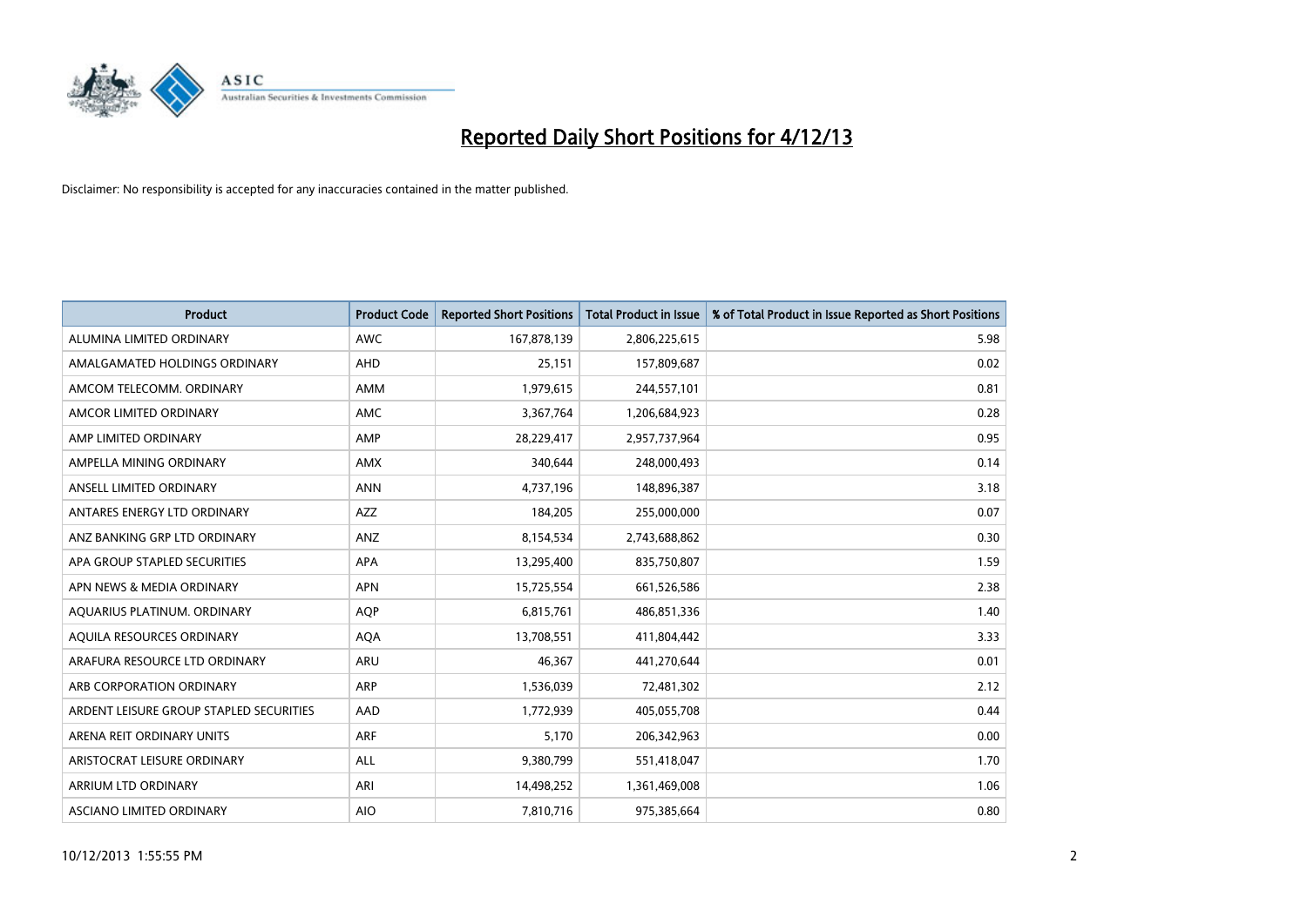

| <b>Product</b>                          | <b>Product Code</b> | <b>Reported Short Positions</b> | <b>Total Product in Issue</b> | % of Total Product in Issue Reported as Short Positions |
|-----------------------------------------|---------------------|---------------------------------|-------------------------------|---------------------------------------------------------|
| ALUMINA LIMITED ORDINARY                | <b>AWC</b>          | 167,878,139                     | 2,806,225,615                 | 5.98                                                    |
| AMALGAMATED HOLDINGS ORDINARY           | AHD                 | 25,151                          | 157,809,687                   | 0.02                                                    |
| AMCOM TELECOMM, ORDINARY                | AMM                 | 1,979,615                       | 244,557,101                   | 0.81                                                    |
| AMCOR LIMITED ORDINARY                  | AMC                 | 3,367,764                       | 1,206,684,923                 | 0.28                                                    |
| AMP LIMITED ORDINARY                    | AMP                 | 28,229,417                      | 2,957,737,964                 | 0.95                                                    |
| AMPELLA MINING ORDINARY                 | AMX                 | 340,644                         | 248,000,493                   | 0.14                                                    |
| ANSELL LIMITED ORDINARY                 | <b>ANN</b>          | 4,737,196                       | 148,896,387                   | 3.18                                                    |
| ANTARES ENERGY LTD ORDINARY             | <b>AZZ</b>          | 184,205                         | 255,000,000                   | 0.07                                                    |
| ANZ BANKING GRP LTD ORDINARY            | ANZ                 | 8,154,534                       | 2,743,688,862                 | 0.30                                                    |
| APA GROUP STAPLED SECURITIES            | <b>APA</b>          | 13,295,400                      | 835,750,807                   | 1.59                                                    |
| APN NEWS & MEDIA ORDINARY               | <b>APN</b>          | 15,725,554                      | 661,526,586                   | 2.38                                                    |
| AQUARIUS PLATINUM. ORDINARY             | AQP                 | 6,815,761                       | 486,851,336                   | 1.40                                                    |
| AQUILA RESOURCES ORDINARY               | <b>AQA</b>          | 13,708,551                      | 411,804,442                   | 3.33                                                    |
| ARAFURA RESOURCE LTD ORDINARY           | <b>ARU</b>          | 46.367                          | 441,270,644                   | 0.01                                                    |
| ARB CORPORATION ORDINARY                | ARP                 | 1,536,039                       | 72,481,302                    | 2.12                                                    |
| ARDENT LEISURE GROUP STAPLED SECURITIES | <b>AAD</b>          | 1,772,939                       | 405,055,708                   | 0.44                                                    |
| ARENA REIT ORDINARY UNITS               | <b>ARF</b>          | 5,170                           | 206,342,963                   | 0.00                                                    |
| ARISTOCRAT LEISURE ORDINARY             | ALL                 | 9,380,799                       | 551,418,047                   | 1.70                                                    |
| ARRIUM LTD ORDINARY                     | ARI                 | 14,498,252                      | 1,361,469,008                 | 1.06                                                    |
| ASCIANO LIMITED ORDINARY                | <b>AIO</b>          | 7,810,716                       | 975,385,664                   | 0.80                                                    |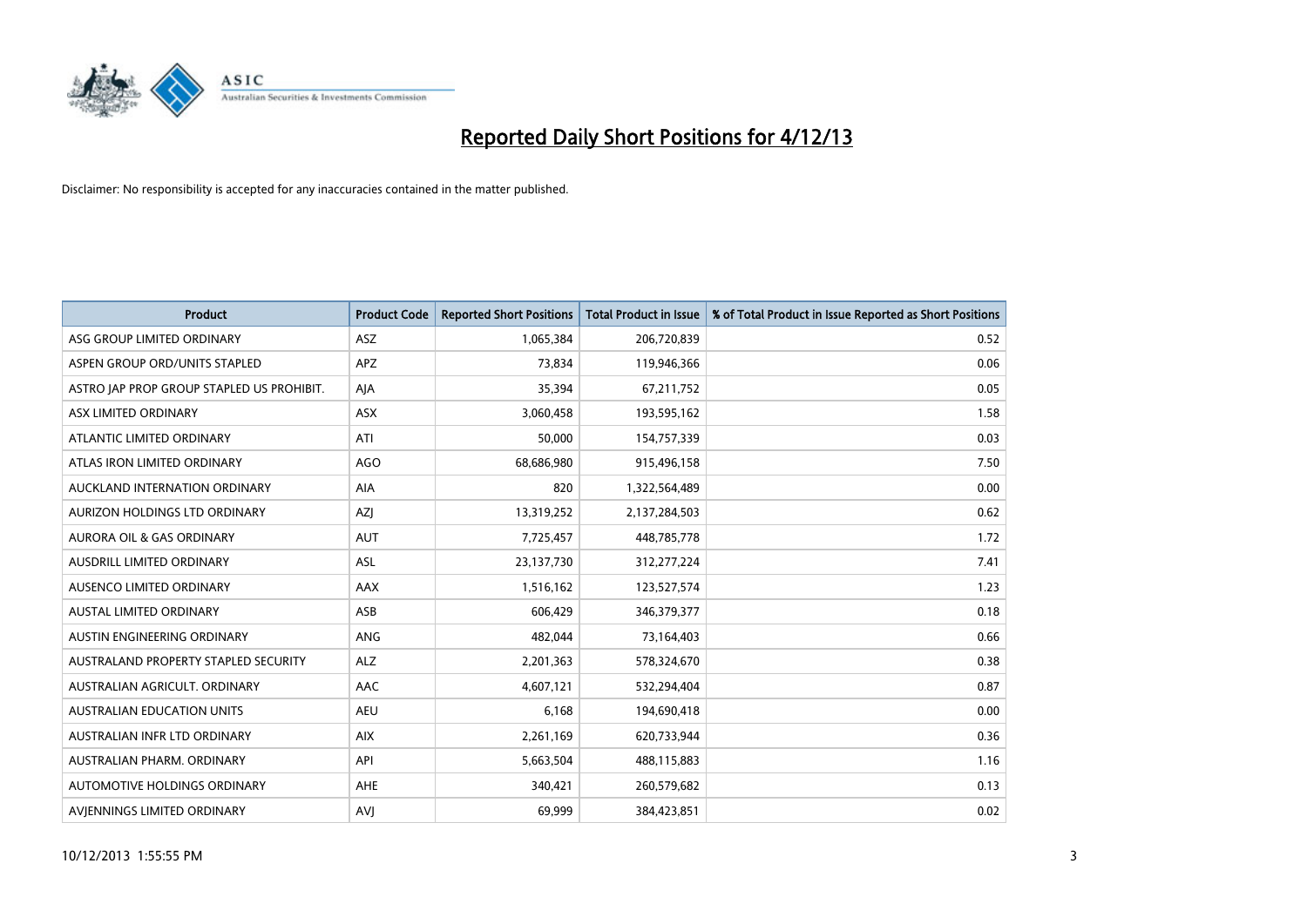

| <b>Product</b>                            | <b>Product Code</b> | <b>Reported Short Positions</b> | <b>Total Product in Issue</b> | % of Total Product in Issue Reported as Short Positions |
|-------------------------------------------|---------------------|---------------------------------|-------------------------------|---------------------------------------------------------|
| ASG GROUP LIMITED ORDINARY                | <b>ASZ</b>          | 1,065,384                       | 206,720,839                   | 0.52                                                    |
| ASPEN GROUP ORD/UNITS STAPLED             | <b>APZ</b>          | 73,834                          | 119,946,366                   | 0.06                                                    |
| ASTRO JAP PROP GROUP STAPLED US PROHIBIT. | AJA                 | 35,394                          | 67,211,752                    | 0.05                                                    |
| ASX LIMITED ORDINARY                      | ASX                 | 3,060,458                       | 193,595,162                   | 1.58                                                    |
| ATLANTIC LIMITED ORDINARY                 | ATI                 | 50,000                          | 154,757,339                   | 0.03                                                    |
| ATLAS IRON LIMITED ORDINARY               | <b>AGO</b>          | 68,686,980                      | 915,496,158                   | 7.50                                                    |
| AUCKLAND INTERNATION ORDINARY             | AIA                 | 820                             | 1,322,564,489                 | 0.00                                                    |
| AURIZON HOLDINGS LTD ORDINARY             | AZJ                 | 13,319,252                      | 2,137,284,503                 | 0.62                                                    |
| <b>AURORA OIL &amp; GAS ORDINARY</b>      | <b>AUT</b>          | 7,725,457                       | 448,785,778                   | 1.72                                                    |
| AUSDRILL LIMITED ORDINARY                 | ASL                 | 23,137,730                      | 312,277,224                   | 7.41                                                    |
| AUSENCO LIMITED ORDINARY                  | AAX                 | 1,516,162                       | 123,527,574                   | 1.23                                                    |
| <b>AUSTAL LIMITED ORDINARY</b>            | ASB                 | 606,429                         | 346, 379, 377                 | 0.18                                                    |
| AUSTIN ENGINEERING ORDINARY               | ANG                 | 482,044                         | 73,164,403                    | 0.66                                                    |
| AUSTRALAND PROPERTY STAPLED SECURITY      | <b>ALZ</b>          | 2,201,363                       | 578,324,670                   | 0.38                                                    |
| AUSTRALIAN AGRICULT, ORDINARY             | <b>AAC</b>          | 4,607,121                       | 532,294,404                   | 0.87                                                    |
| AUSTRALIAN EDUCATION UNITS                | <b>AEU</b>          | 6,168                           | 194,690,418                   | 0.00                                                    |
| AUSTRALIAN INFR LTD ORDINARY              | <b>AIX</b>          | 2,261,169                       | 620,733,944                   | 0.36                                                    |
| AUSTRALIAN PHARM. ORDINARY                | API                 | 5,663,504                       | 488,115,883                   | 1.16                                                    |
| AUTOMOTIVE HOLDINGS ORDINARY              | <b>AHE</b>          | 340,421                         | 260,579,682                   | 0.13                                                    |
| AVIENNINGS LIMITED ORDINARY               | <b>AVJ</b>          | 69,999                          | 384,423,851                   | 0.02                                                    |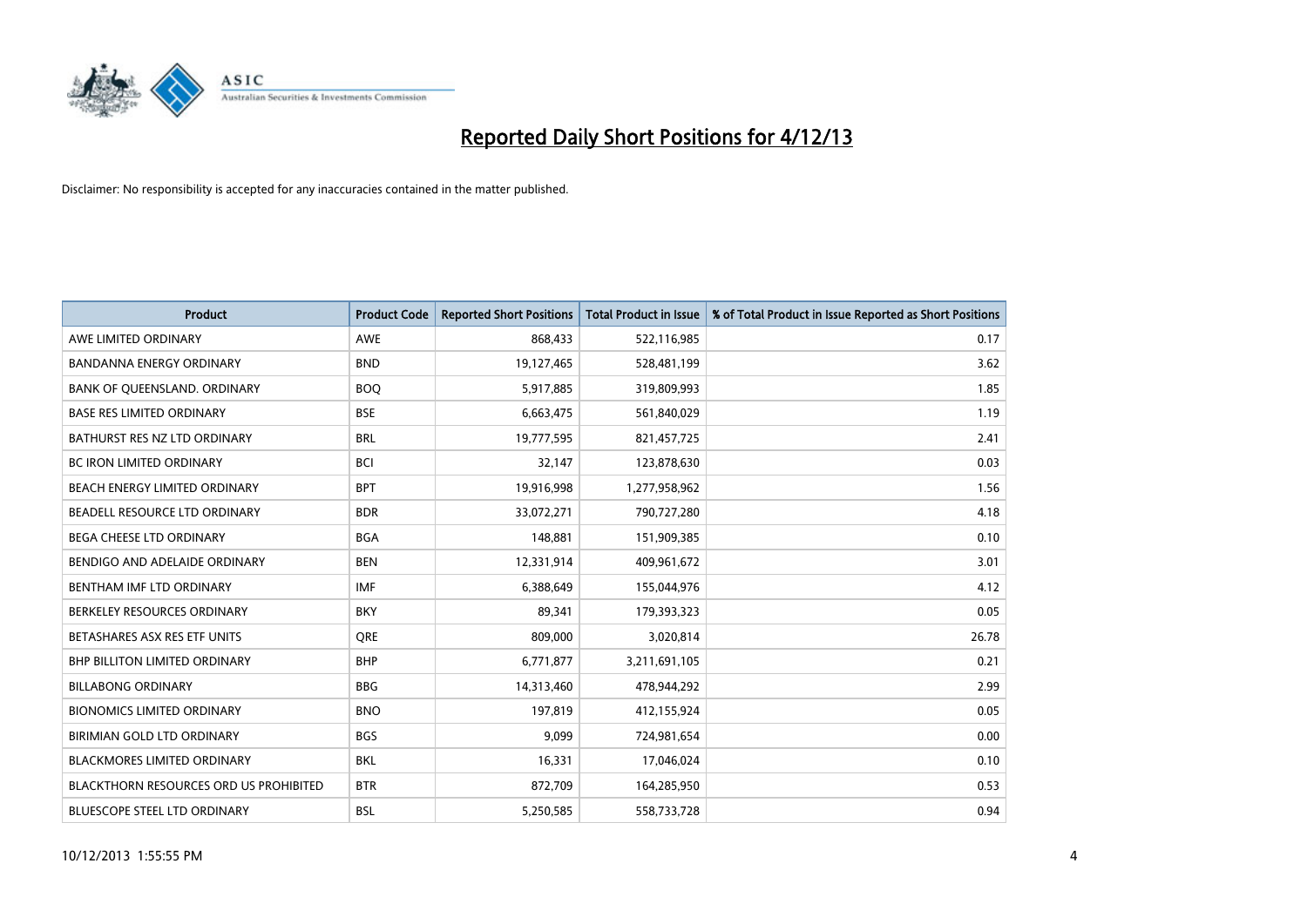

| <b>Product</b>                                | <b>Product Code</b> | <b>Reported Short Positions</b> | <b>Total Product in Issue</b> | % of Total Product in Issue Reported as Short Positions |
|-----------------------------------------------|---------------------|---------------------------------|-------------------------------|---------------------------------------------------------|
| AWE LIMITED ORDINARY                          | <b>AWE</b>          | 868,433                         | 522,116,985                   | 0.17                                                    |
| BANDANNA ENERGY ORDINARY                      | <b>BND</b>          | 19,127,465                      | 528,481,199                   | 3.62                                                    |
| BANK OF QUEENSLAND. ORDINARY                  | <b>BOQ</b>          | 5,917,885                       | 319,809,993                   | 1.85                                                    |
| <b>BASE RES LIMITED ORDINARY</b>              | <b>BSE</b>          | 6,663,475                       | 561,840,029                   | 1.19                                                    |
| BATHURST RES NZ LTD ORDINARY                  | <b>BRL</b>          | 19,777,595                      | 821,457,725                   | 2.41                                                    |
| <b>BC IRON LIMITED ORDINARY</b>               | <b>BCI</b>          | 32,147                          | 123,878,630                   | 0.03                                                    |
| BEACH ENERGY LIMITED ORDINARY                 | <b>BPT</b>          | 19,916,998                      | 1,277,958,962                 | 1.56                                                    |
| BEADELL RESOURCE LTD ORDINARY                 | <b>BDR</b>          | 33,072,271                      | 790,727,280                   | 4.18                                                    |
| <b>BEGA CHEESE LTD ORDINARY</b>               | <b>BGA</b>          | 148,881                         | 151,909,385                   | 0.10                                                    |
| BENDIGO AND ADELAIDE ORDINARY                 | <b>BEN</b>          | 12,331,914                      | 409,961,672                   | 3.01                                                    |
| <b>BENTHAM IMF LTD ORDINARY</b>               | <b>IMF</b>          | 6,388,649                       | 155,044,976                   | 4.12                                                    |
| BERKELEY RESOURCES ORDINARY                   | <b>BKY</b>          | 89,341                          | 179,393,323                   | 0.05                                                    |
| BETASHARES ASX RES ETF UNITS                  | <b>ORE</b>          | 809,000                         | 3,020,814                     | 26.78                                                   |
| <b>BHP BILLITON LIMITED ORDINARY</b>          | <b>BHP</b>          | 6,771,877                       | 3,211,691,105                 | 0.21                                                    |
| <b>BILLABONG ORDINARY</b>                     | <b>BBG</b>          | 14,313,460                      | 478,944,292                   | 2.99                                                    |
| <b>BIONOMICS LIMITED ORDINARY</b>             | <b>BNO</b>          | 197,819                         | 412,155,924                   | 0.05                                                    |
| BIRIMIAN GOLD LTD ORDINARY                    | <b>BGS</b>          | 9,099                           | 724,981,654                   | 0.00                                                    |
| <b>BLACKMORES LIMITED ORDINARY</b>            | <b>BKL</b>          | 16,331                          | 17,046,024                    | 0.10                                                    |
| <b>BLACKTHORN RESOURCES ORD US PROHIBITED</b> | <b>BTR</b>          | 872,709                         | 164,285,950                   | 0.53                                                    |
| <b>BLUESCOPE STEEL LTD ORDINARY</b>           | <b>BSL</b>          | 5,250,585                       | 558,733,728                   | 0.94                                                    |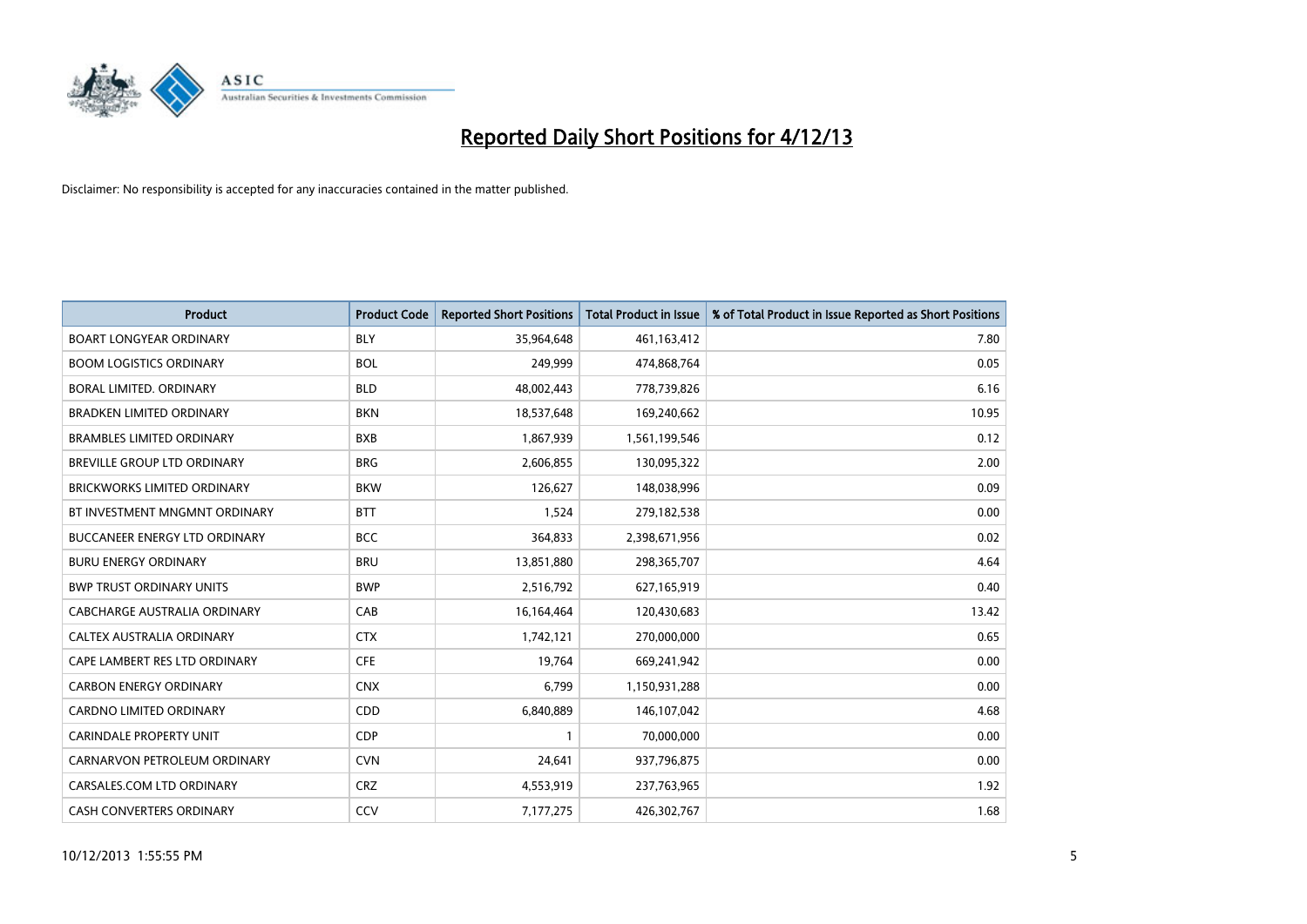

| <b>Product</b>                       | <b>Product Code</b> | <b>Reported Short Positions</b> | <b>Total Product in Issue</b> | % of Total Product in Issue Reported as Short Positions |
|--------------------------------------|---------------------|---------------------------------|-------------------------------|---------------------------------------------------------|
| <b>BOART LONGYEAR ORDINARY</b>       | <b>BLY</b>          | 35,964,648                      | 461,163,412                   | 7.80                                                    |
| <b>BOOM LOGISTICS ORDINARY</b>       | <b>BOL</b>          | 249,999                         | 474,868,764                   | 0.05                                                    |
| BORAL LIMITED, ORDINARY              | <b>BLD</b>          | 48,002,443                      | 778,739,826                   | 6.16                                                    |
| <b>BRADKEN LIMITED ORDINARY</b>      | <b>BKN</b>          | 18,537,648                      | 169,240,662                   | 10.95                                                   |
| <b>BRAMBLES LIMITED ORDINARY</b>     | <b>BXB</b>          | 1,867,939                       | 1,561,199,546                 | 0.12                                                    |
| BREVILLE GROUP LTD ORDINARY          | <b>BRG</b>          | 2,606,855                       | 130,095,322                   | 2.00                                                    |
| <b>BRICKWORKS LIMITED ORDINARY</b>   | <b>BKW</b>          | 126,627                         | 148,038,996                   | 0.09                                                    |
| BT INVESTMENT MNGMNT ORDINARY        | <b>BTT</b>          | 1,524                           | 279,182,538                   | 0.00                                                    |
| <b>BUCCANEER ENERGY LTD ORDINARY</b> | <b>BCC</b>          | 364,833                         | 2,398,671,956                 | 0.02                                                    |
| <b>BURU ENERGY ORDINARY</b>          | <b>BRU</b>          | 13,851,880                      | 298,365,707                   | 4.64                                                    |
| <b>BWP TRUST ORDINARY UNITS</b>      | <b>BWP</b>          | 2,516,792                       | 627,165,919                   | 0.40                                                    |
| CABCHARGE AUSTRALIA ORDINARY         | CAB                 | 16,164,464                      | 120,430,683                   | 13.42                                                   |
| CALTEX AUSTRALIA ORDINARY            | <b>CTX</b>          | 1,742,121                       | 270,000,000                   | 0.65                                                    |
| CAPE LAMBERT RES LTD ORDINARY        | <b>CFE</b>          | 19,764                          | 669,241,942                   | 0.00                                                    |
| <b>CARBON ENERGY ORDINARY</b>        | <b>CNX</b>          | 6,799                           | 1,150,931,288                 | 0.00                                                    |
| CARDNO LIMITED ORDINARY              | CDD                 | 6,840,889                       | 146, 107, 042                 | 4.68                                                    |
| CARINDALE PROPERTY UNIT              | <b>CDP</b>          | $\mathbf{1}$                    | 70,000,000                    | 0.00                                                    |
| CARNARVON PETROLEUM ORDINARY         | <b>CVN</b>          | 24,641                          | 937,796,875                   | 0.00                                                    |
| CARSALES.COM LTD ORDINARY            | <b>CRZ</b>          | 4,553,919                       | 237,763,965                   | 1.92                                                    |
| CASH CONVERTERS ORDINARY             | CCV                 | 7,177,275                       | 426,302,767                   | 1.68                                                    |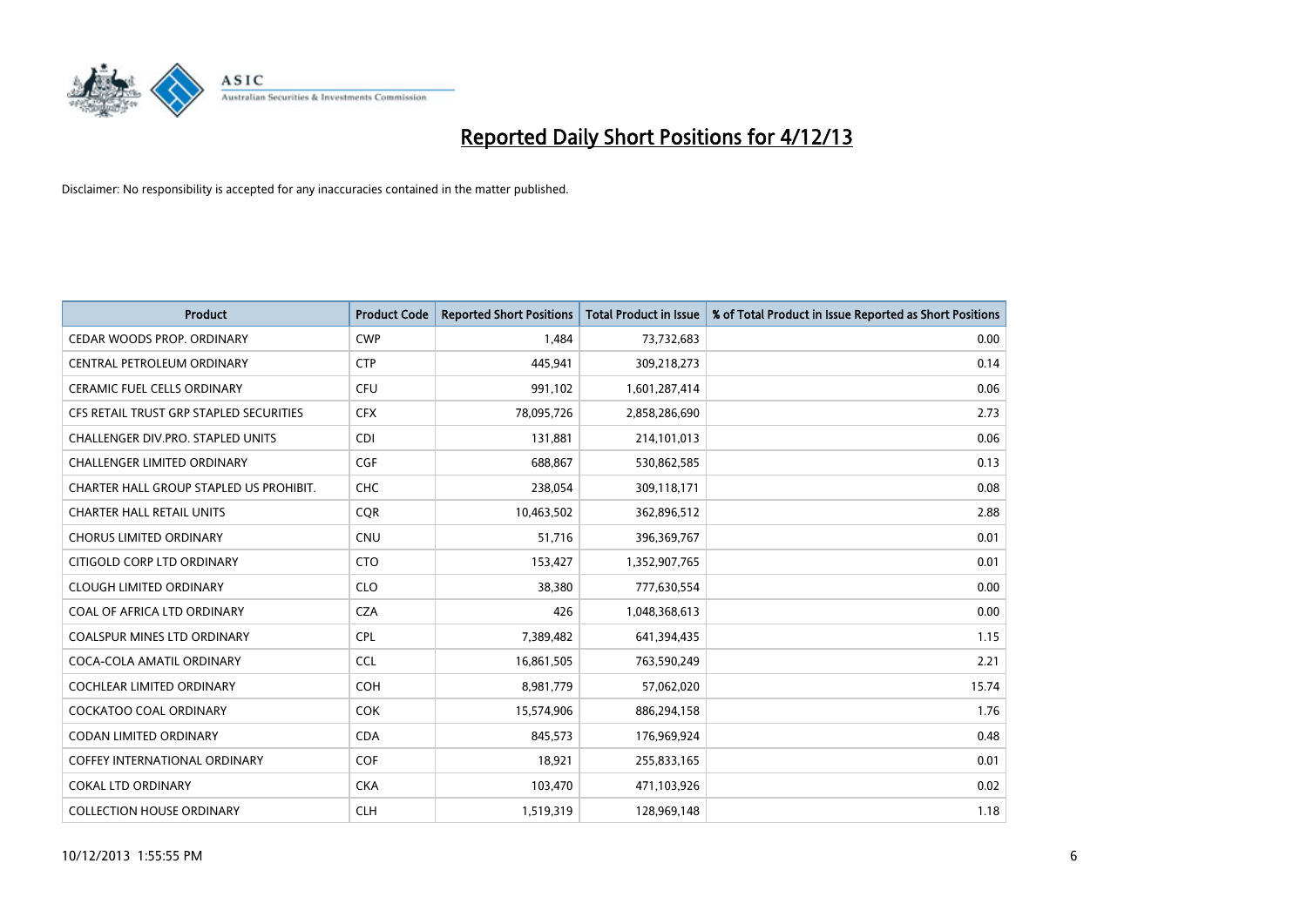

| <b>Product</b>                          | <b>Product Code</b> | <b>Reported Short Positions</b> | <b>Total Product in Issue</b> | % of Total Product in Issue Reported as Short Positions |
|-----------------------------------------|---------------------|---------------------------------|-------------------------------|---------------------------------------------------------|
| CEDAR WOODS PROP. ORDINARY              | <b>CWP</b>          | 1,484                           | 73,732,683                    | 0.00                                                    |
| CENTRAL PETROLEUM ORDINARY              | <b>CTP</b>          | 445,941                         | 309,218,273                   | 0.14                                                    |
| CERAMIC FUEL CELLS ORDINARY             | <b>CFU</b>          | 991,102                         | 1,601,287,414                 | 0.06                                                    |
| CFS RETAIL TRUST GRP STAPLED SECURITIES | <b>CFX</b>          | 78,095,726                      | 2,858,286,690                 | 2.73                                                    |
| CHALLENGER DIV.PRO. STAPLED UNITS       | <b>CDI</b>          | 131,881                         | 214,101,013                   | 0.06                                                    |
| <b>CHALLENGER LIMITED ORDINARY</b>      | <b>CGF</b>          | 688,867                         | 530,862,585                   | 0.13                                                    |
| CHARTER HALL GROUP STAPLED US PROHIBIT. | <b>CHC</b>          | 238,054                         | 309,118,171                   | 0.08                                                    |
| <b>CHARTER HALL RETAIL UNITS</b>        | <b>CQR</b>          | 10,463,502                      | 362,896,512                   | 2.88                                                    |
| <b>CHORUS LIMITED ORDINARY</b>          | <b>CNU</b>          | 51,716                          | 396,369,767                   | 0.01                                                    |
| CITIGOLD CORP LTD ORDINARY              | <b>CTO</b>          | 153,427                         | 1,352,907,765                 | 0.01                                                    |
| <b>CLOUGH LIMITED ORDINARY</b>          | <b>CLO</b>          | 38,380                          | 777,630,554                   | 0.00                                                    |
| COAL OF AFRICA LTD ORDINARY             | <b>CZA</b>          | 426                             | 1,048,368,613                 | 0.00                                                    |
| COALSPUR MINES LTD ORDINARY             | <b>CPL</b>          | 7,389,482                       | 641,394,435                   | 1.15                                                    |
| COCA-COLA AMATIL ORDINARY               | <b>CCL</b>          | 16,861,505                      | 763,590,249                   | 2.21                                                    |
| <b>COCHLEAR LIMITED ORDINARY</b>        | COH                 | 8,981,779                       | 57,062,020                    | 15.74                                                   |
| <b>COCKATOO COAL ORDINARY</b>           | <b>COK</b>          | 15,574,906                      | 886,294,158                   | 1.76                                                    |
| <b>CODAN LIMITED ORDINARY</b>           | <b>CDA</b>          | 845,573                         | 176,969,924                   | 0.48                                                    |
| COFFEY INTERNATIONAL ORDINARY           | <b>COF</b>          | 18,921                          | 255,833,165                   | 0.01                                                    |
| <b>COKAL LTD ORDINARY</b>               | <b>CKA</b>          | 103,470                         | 471,103,926                   | 0.02                                                    |
| <b>COLLECTION HOUSE ORDINARY</b>        | <b>CLH</b>          | 1,519,319                       | 128,969,148                   | 1.18                                                    |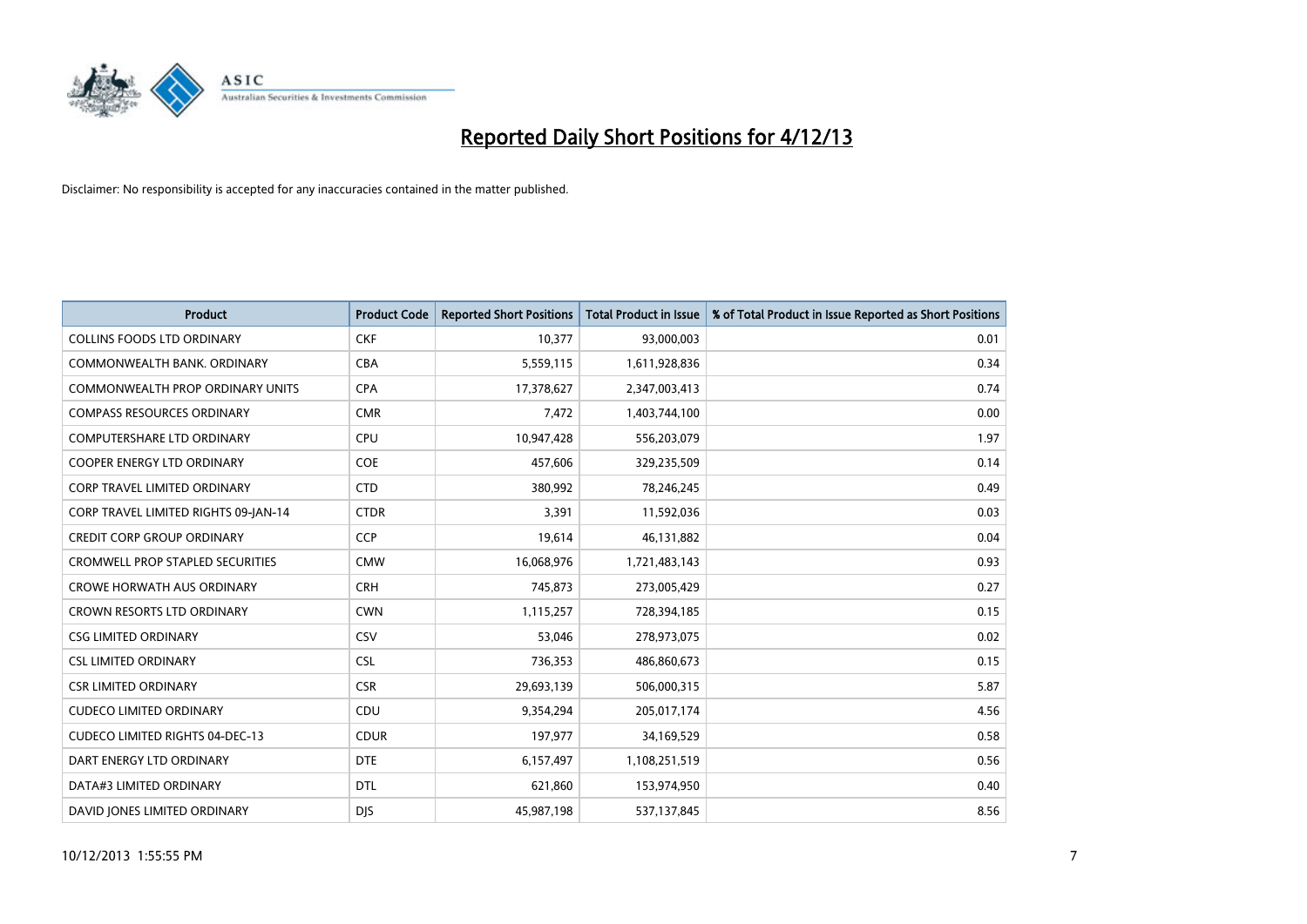

| <b>Product</b>                          | <b>Product Code</b> | <b>Reported Short Positions</b> | <b>Total Product in Issue</b> | % of Total Product in Issue Reported as Short Positions |
|-----------------------------------------|---------------------|---------------------------------|-------------------------------|---------------------------------------------------------|
| <b>COLLINS FOODS LTD ORDINARY</b>       | <b>CKF</b>          | 10,377                          | 93,000,003                    | 0.01                                                    |
| COMMONWEALTH BANK, ORDINARY             | <b>CBA</b>          | 5,559,115                       | 1,611,928,836                 | 0.34                                                    |
| <b>COMMONWEALTH PROP ORDINARY UNITS</b> | <b>CPA</b>          | 17,378,627                      | 2,347,003,413                 | 0.74                                                    |
| <b>COMPASS RESOURCES ORDINARY</b>       | <b>CMR</b>          | 7,472                           | 1,403,744,100                 | 0.00                                                    |
| <b>COMPUTERSHARE LTD ORDINARY</b>       | <b>CPU</b>          | 10,947,428                      | 556,203,079                   | 1.97                                                    |
| <b>COOPER ENERGY LTD ORDINARY</b>       | <b>COE</b>          | 457,606                         | 329,235,509                   | 0.14                                                    |
| <b>CORP TRAVEL LIMITED ORDINARY</b>     | <b>CTD</b>          | 380,992                         | 78,246,245                    | 0.49                                                    |
| CORP TRAVEL LIMITED RIGHTS 09-JAN-14    | <b>CTDR</b>         | 3,391                           | 11,592,036                    | 0.03                                                    |
| <b>CREDIT CORP GROUP ORDINARY</b>       | CCP                 | 19,614                          | 46,131,882                    | 0.04                                                    |
| <b>CROMWELL PROP STAPLED SECURITIES</b> | <b>CMW</b>          | 16,068,976                      | 1,721,483,143                 | 0.93                                                    |
| <b>CROWE HORWATH AUS ORDINARY</b>       | <b>CRH</b>          | 745,873                         | 273,005,429                   | 0.27                                                    |
| <b>CROWN RESORTS LTD ORDINARY</b>       | <b>CWN</b>          | 1,115,257                       | 728,394,185                   | 0.15                                                    |
| <b>CSG LIMITED ORDINARY</b>             | CSV                 | 53,046                          | 278,973,075                   | 0.02                                                    |
| <b>CSL LIMITED ORDINARY</b>             | <b>CSL</b>          | 736,353                         | 486,860,673                   | 0.15                                                    |
| <b>CSR LIMITED ORDINARY</b>             | <b>CSR</b>          | 29,693,139                      | 506,000,315                   | 5.87                                                    |
| <b>CUDECO LIMITED ORDINARY</b>          | CDU                 | 9,354,294                       | 205,017,174                   | 4.56                                                    |
| <b>CUDECO LIMITED RIGHTS 04-DEC-13</b>  | <b>CDUR</b>         | 197,977                         | 34,169,529                    | 0.58                                                    |
| DART ENERGY LTD ORDINARY                | <b>DTE</b>          | 6,157,497                       | 1,108,251,519                 | 0.56                                                    |
| DATA#3 LIMITED ORDINARY                 | <b>DTL</b>          | 621,860                         | 153,974,950                   | 0.40                                                    |
| DAVID JONES LIMITED ORDINARY            | <b>DJS</b>          | 45,987,198                      | 537,137,845                   | 8.56                                                    |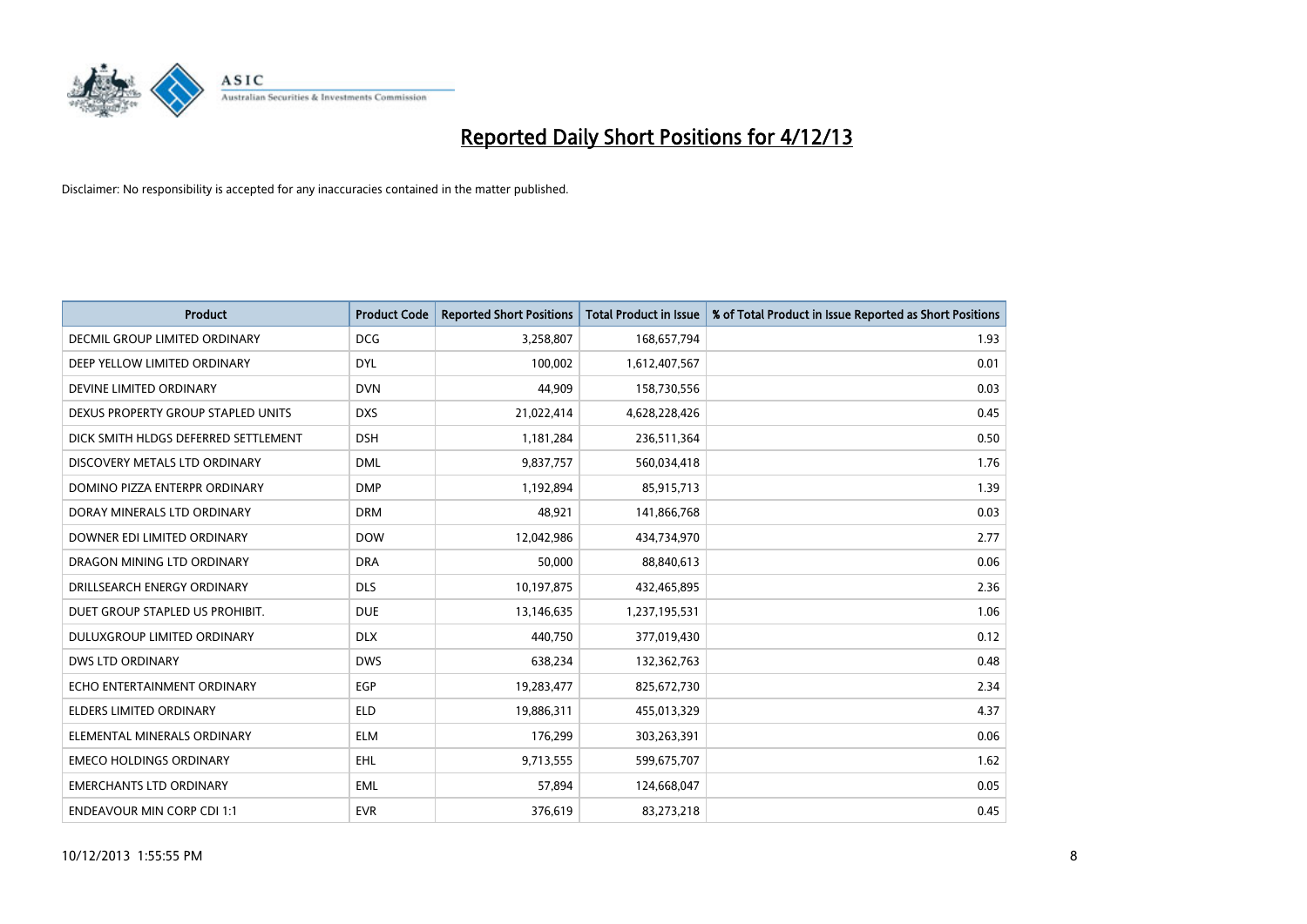

| <b>Product</b>                       | <b>Product Code</b> | <b>Reported Short Positions</b> | <b>Total Product in Issue</b> | % of Total Product in Issue Reported as Short Positions |
|--------------------------------------|---------------------|---------------------------------|-------------------------------|---------------------------------------------------------|
| <b>DECMIL GROUP LIMITED ORDINARY</b> | <b>DCG</b>          | 3,258,807                       | 168,657,794                   | 1.93                                                    |
| DEEP YELLOW LIMITED ORDINARY         | <b>DYL</b>          | 100,002                         | 1,612,407,567                 | 0.01                                                    |
| DEVINE LIMITED ORDINARY              | <b>DVN</b>          | 44,909                          | 158,730,556                   | 0.03                                                    |
| DEXUS PROPERTY GROUP STAPLED UNITS   | <b>DXS</b>          | 21,022,414                      | 4,628,228,426                 | 0.45                                                    |
| DICK SMITH HLDGS DEFERRED SETTLEMENT | <b>DSH</b>          | 1,181,284                       | 236,511,364                   | 0.50                                                    |
| DISCOVERY METALS LTD ORDINARY        | <b>DML</b>          | 9,837,757                       | 560,034,418                   | 1.76                                                    |
| DOMINO PIZZA ENTERPR ORDINARY        | <b>DMP</b>          | 1,192,894                       | 85,915,713                    | 1.39                                                    |
| DORAY MINERALS LTD ORDINARY          | <b>DRM</b>          | 48,921                          | 141,866,768                   | 0.03                                                    |
| DOWNER EDI LIMITED ORDINARY          | <b>DOW</b>          | 12,042,986                      | 434,734,970                   | 2.77                                                    |
| DRAGON MINING LTD ORDINARY           | <b>DRA</b>          | 50,000                          | 88,840,613                    | 0.06                                                    |
| DRILLSEARCH ENERGY ORDINARY          | <b>DLS</b>          | 10,197,875                      | 432,465,895                   | 2.36                                                    |
| DUET GROUP STAPLED US PROHIBIT.      | <b>DUE</b>          | 13,146,635                      | 1,237,195,531                 | 1.06                                                    |
| DULUXGROUP LIMITED ORDINARY          | <b>DLX</b>          | 440,750                         | 377,019,430                   | 0.12                                                    |
| DWS LTD ORDINARY                     | <b>DWS</b>          | 638,234                         | 132,362,763                   | 0.48                                                    |
| ECHO ENTERTAINMENT ORDINARY          | EGP                 | 19,283,477                      | 825,672,730                   | 2.34                                                    |
| ELDERS LIMITED ORDINARY              | <b>ELD</b>          | 19,886,311                      | 455,013,329                   | 4.37                                                    |
| ELEMENTAL MINERALS ORDINARY          | <b>ELM</b>          | 176,299                         | 303,263,391                   | 0.06                                                    |
| <b>EMECO HOLDINGS ORDINARY</b>       | <b>EHL</b>          | 9,713,555                       | 599,675,707                   | 1.62                                                    |
| <b>EMERCHANTS LTD ORDINARY</b>       | EML                 | 57,894                          | 124,668,047                   | 0.05                                                    |
| <b>ENDEAVOUR MIN CORP CDI 1:1</b>    | <b>EVR</b>          | 376,619                         | 83,273,218                    | 0.45                                                    |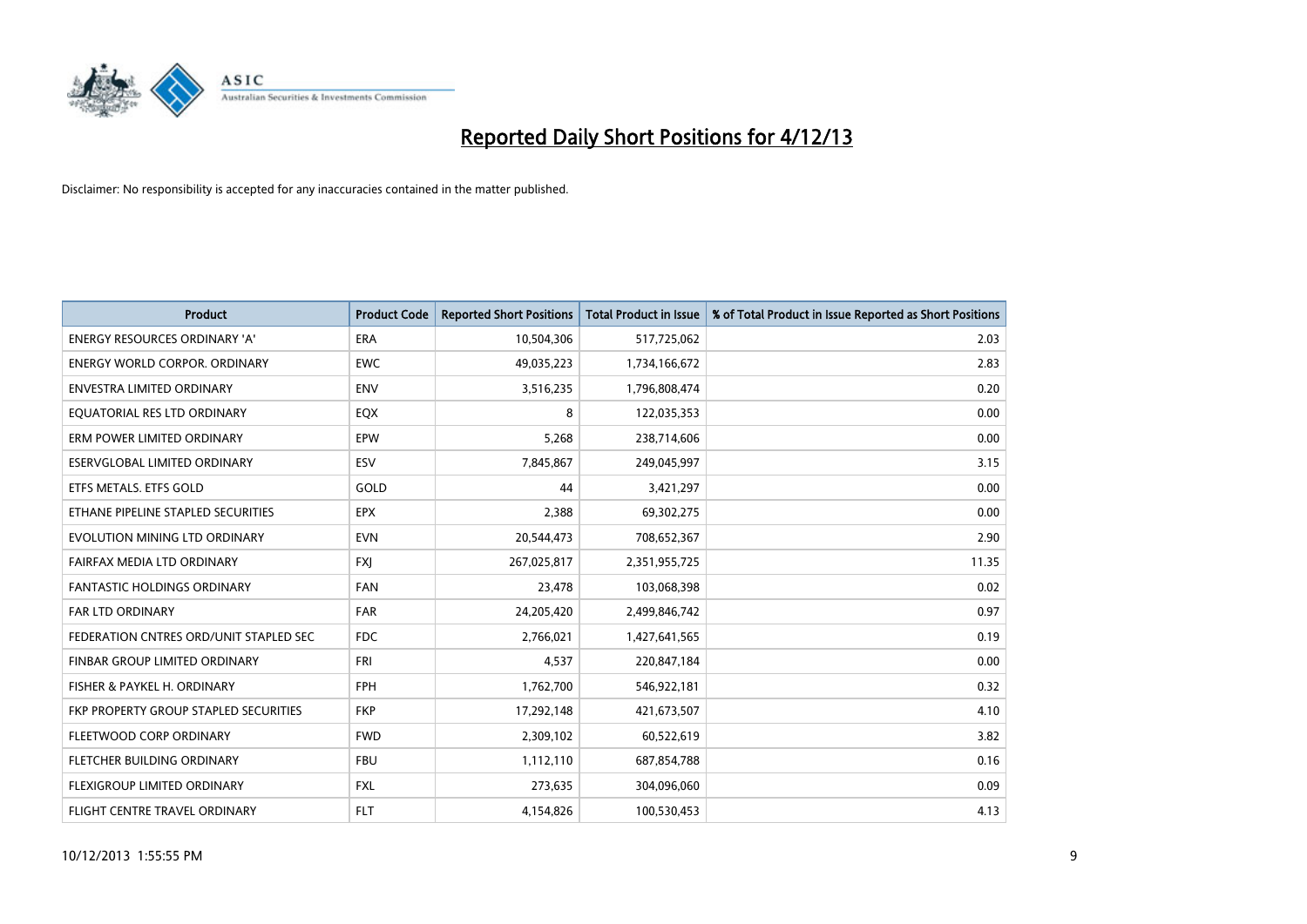

| <b>Product</b>                         | <b>Product Code</b> | <b>Reported Short Positions</b> | <b>Total Product in Issue</b> | % of Total Product in Issue Reported as Short Positions |
|----------------------------------------|---------------------|---------------------------------|-------------------------------|---------------------------------------------------------|
| <b>ENERGY RESOURCES ORDINARY 'A'</b>   | <b>ERA</b>          | 10,504,306                      | 517,725,062                   | 2.03                                                    |
| ENERGY WORLD CORPOR. ORDINARY          | <b>EWC</b>          | 49,035,223                      | 1,734,166,672                 | 2.83                                                    |
| ENVESTRA LIMITED ORDINARY              | <b>ENV</b>          | 3,516,235                       | 1,796,808,474                 | 0.20                                                    |
| EQUATORIAL RES LTD ORDINARY            | EQX                 | 8                               | 122,035,353                   | 0.00                                                    |
| ERM POWER LIMITED ORDINARY             | EPW                 | 5,268                           | 238,714,606                   | 0.00                                                    |
| ESERVGLOBAL LIMITED ORDINARY           | ESV                 | 7,845,867                       | 249,045,997                   | 3.15                                                    |
| ETFS METALS. ETFS GOLD                 | GOLD                | 44                              | 3,421,297                     | 0.00                                                    |
| ETHANE PIPELINE STAPLED SECURITIES     | <b>EPX</b>          | 2,388                           | 69,302,275                    | 0.00                                                    |
| EVOLUTION MINING LTD ORDINARY          | <b>EVN</b>          | 20,544,473                      | 708,652,367                   | 2.90                                                    |
| FAIRFAX MEDIA LTD ORDINARY             | <b>FXJ</b>          | 267,025,817                     | 2,351,955,725                 | 11.35                                                   |
| <b>FANTASTIC HOLDINGS ORDINARY</b>     | <b>FAN</b>          | 23,478                          | 103,068,398                   | 0.02                                                    |
| FAR LTD ORDINARY                       | <b>FAR</b>          | 24,205,420                      | 2,499,846,742                 | 0.97                                                    |
| FEDERATION CNTRES ORD/UNIT STAPLED SEC | <b>FDC</b>          | 2,766,021                       | 1,427,641,565                 | 0.19                                                    |
| FINBAR GROUP LIMITED ORDINARY          | <b>FRI</b>          | 4,537                           | 220,847,184                   | 0.00                                                    |
| FISHER & PAYKEL H. ORDINARY            | <b>FPH</b>          | 1,762,700                       | 546,922,181                   | 0.32                                                    |
| FKP PROPERTY GROUP STAPLED SECURITIES  | <b>FKP</b>          | 17,292,148                      | 421,673,507                   | 4.10                                                    |
| FLEETWOOD CORP ORDINARY                | <b>FWD</b>          | 2,309,102                       | 60,522,619                    | 3.82                                                    |
| FLETCHER BUILDING ORDINARY             | <b>FBU</b>          | 1,112,110                       | 687,854,788                   | 0.16                                                    |
| FLEXIGROUP LIMITED ORDINARY            | <b>FXL</b>          | 273,635                         | 304,096,060                   | 0.09                                                    |
| <b>FLIGHT CENTRE TRAVEL ORDINARY</b>   | <b>FLT</b>          | 4,154,826                       | 100,530,453                   | 4.13                                                    |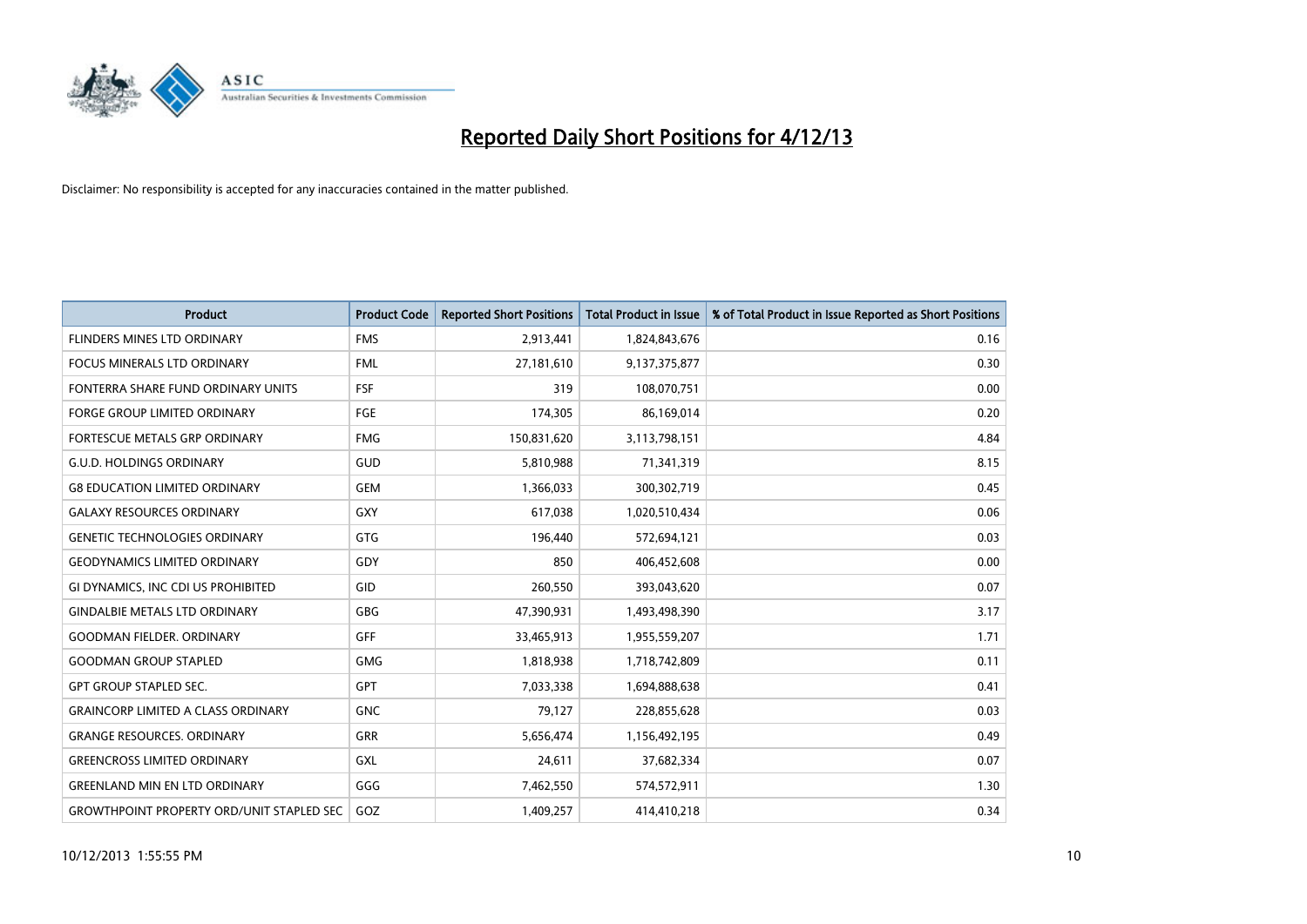

| <b>Product</b>                                   | <b>Product Code</b> | <b>Reported Short Positions</b> | <b>Total Product in Issue</b> | % of Total Product in Issue Reported as Short Positions |
|--------------------------------------------------|---------------------|---------------------------------|-------------------------------|---------------------------------------------------------|
| FLINDERS MINES LTD ORDINARY                      | <b>FMS</b>          | 2,913,441                       | 1,824,843,676                 | 0.16                                                    |
| FOCUS MINERALS LTD ORDINARY                      | <b>FML</b>          | 27,181,610                      | 9,137,375,877                 | 0.30                                                    |
| FONTERRA SHARE FUND ORDINARY UNITS               | <b>FSF</b>          | 319                             | 108,070,751                   | 0.00                                                    |
| FORGE GROUP LIMITED ORDINARY                     | <b>FGE</b>          | 174,305                         | 86,169,014                    | 0.20                                                    |
| <b>FORTESCUE METALS GRP ORDINARY</b>             | <b>FMG</b>          | 150,831,620                     | 3,113,798,151                 | 4.84                                                    |
| <b>G.U.D. HOLDINGS ORDINARY</b>                  | GUD                 | 5,810,988                       | 71,341,319                    | 8.15                                                    |
| <b>G8 EDUCATION LIMITED ORDINARY</b>             | <b>GEM</b>          | 1,366,033                       | 300,302,719                   | 0.45                                                    |
| <b>GALAXY RESOURCES ORDINARY</b>                 | GXY                 | 617,038                         | 1,020,510,434                 | 0.06                                                    |
| <b>GENETIC TECHNOLOGIES ORDINARY</b>             | <b>GTG</b>          | 196,440                         | 572,694,121                   | 0.03                                                    |
| <b>GEODYNAMICS LIMITED ORDINARY</b>              | GDY                 | 850                             | 406,452,608                   | 0.00                                                    |
| GI DYNAMICS, INC CDI US PROHIBITED               | GID                 | 260,550                         | 393,043,620                   | 0.07                                                    |
| <b>GINDALBIE METALS LTD ORDINARY</b>             | GBG                 | 47,390,931                      | 1,493,498,390                 | 3.17                                                    |
| <b>GOODMAN FIELDER. ORDINARY</b>                 | GFF                 | 33,465,913                      | 1,955,559,207                 | 1.71                                                    |
| <b>GOODMAN GROUP STAPLED</b>                     | <b>GMG</b>          | 1,818,938                       | 1,718,742,809                 | 0.11                                                    |
| <b>GPT GROUP STAPLED SEC.</b>                    | <b>GPT</b>          | 7,033,338                       | 1,694,888,638                 | 0.41                                                    |
| <b>GRAINCORP LIMITED A CLASS ORDINARY</b>        | <b>GNC</b>          | 79,127                          | 228,855,628                   | 0.03                                                    |
| <b>GRANGE RESOURCES, ORDINARY</b>                | <b>GRR</b>          | 5,656,474                       | 1,156,492,195                 | 0.49                                                    |
| <b>GREENCROSS LIMITED ORDINARY</b>               | <b>GXL</b>          | 24,611                          | 37,682,334                    | 0.07                                                    |
| <b>GREENLAND MIN EN LTD ORDINARY</b>             | GGG                 | 7,462,550                       | 574,572,911                   | 1.30                                                    |
| <b>GROWTHPOINT PROPERTY ORD/UNIT STAPLED SEC</b> | GOZ                 | 1,409,257                       | 414,410,218                   | 0.34                                                    |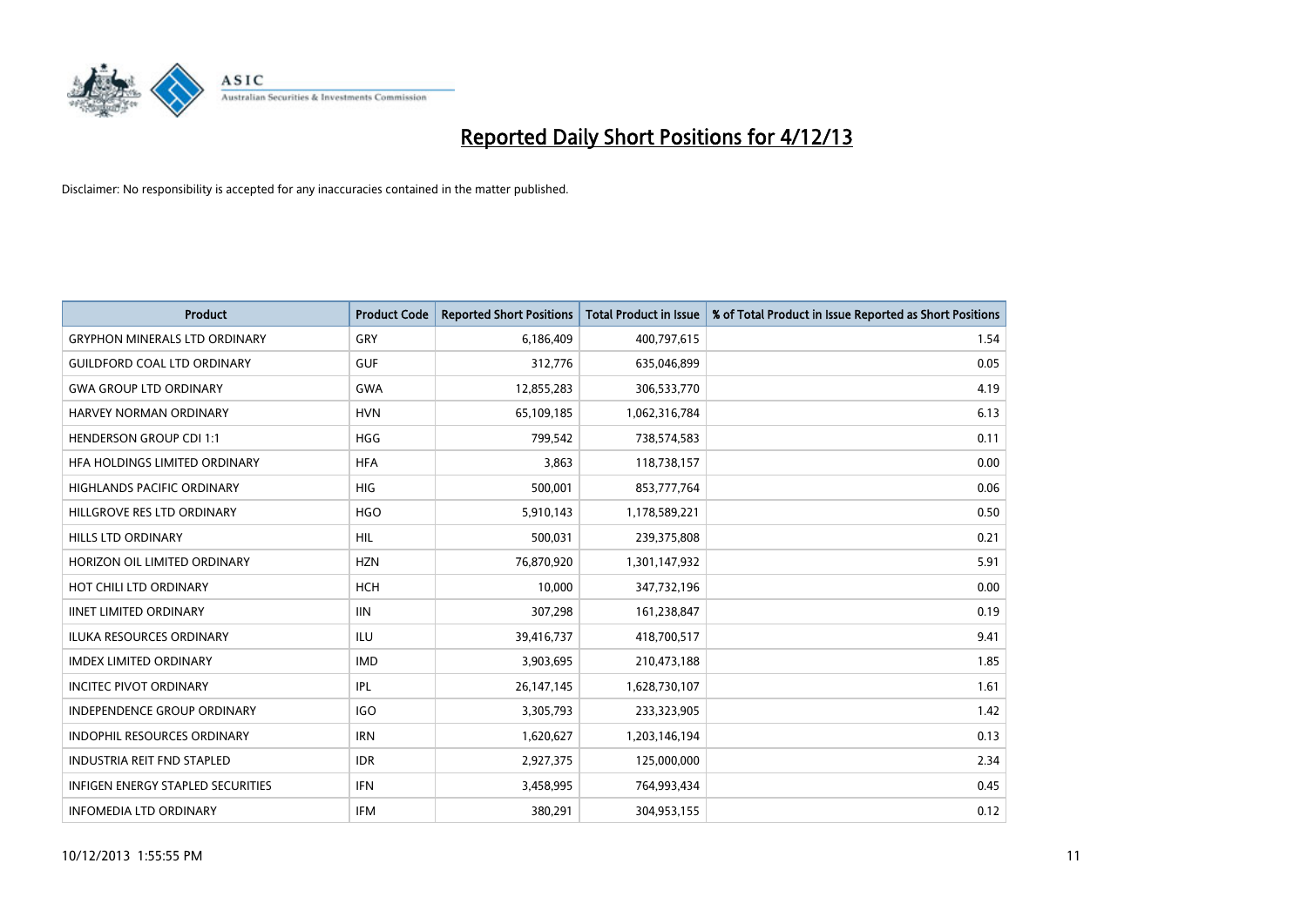

| <b>Product</b>                           | <b>Product Code</b> | <b>Reported Short Positions</b> | <b>Total Product in Issue</b> | % of Total Product in Issue Reported as Short Positions |
|------------------------------------------|---------------------|---------------------------------|-------------------------------|---------------------------------------------------------|
| <b>GRYPHON MINERALS LTD ORDINARY</b>     | GRY                 | 6,186,409                       | 400,797,615                   | 1.54                                                    |
| <b>GUILDFORD COAL LTD ORDINARY</b>       | <b>GUF</b>          | 312,776                         | 635,046,899                   | 0.05                                                    |
| <b>GWA GROUP LTD ORDINARY</b>            | <b>GWA</b>          | 12,855,283                      | 306,533,770                   | 4.19                                                    |
| <b>HARVEY NORMAN ORDINARY</b>            | <b>HVN</b>          | 65,109,185                      | 1,062,316,784                 | 6.13                                                    |
| <b>HENDERSON GROUP CDI 1:1</b>           | <b>HGG</b>          | 799,542                         | 738,574,583                   | 0.11                                                    |
| HFA HOLDINGS LIMITED ORDINARY            | <b>HFA</b>          | 3,863                           | 118,738,157                   | 0.00                                                    |
| <b>HIGHLANDS PACIFIC ORDINARY</b>        | <b>HIG</b>          | 500,001                         | 853,777,764                   | 0.06                                                    |
| HILLGROVE RES LTD ORDINARY               | <b>HGO</b>          | 5,910,143                       | 1,178,589,221                 | 0.50                                                    |
| <b>HILLS LTD ORDINARY</b>                | <b>HIL</b>          | 500,031                         | 239,375,808                   | 0.21                                                    |
| HORIZON OIL LIMITED ORDINARY             | <b>HZN</b>          | 76,870,920                      | 1,301,147,932                 | 5.91                                                    |
| HOT CHILI LTD ORDINARY                   | <b>HCH</b>          | 10,000                          | 347,732,196                   | 0.00                                                    |
| <b>IINET LIMITED ORDINARY</b>            | <b>IIN</b>          | 307,298                         | 161,238,847                   | 0.19                                                    |
| ILUKA RESOURCES ORDINARY                 | ILU                 | 39,416,737                      | 418,700,517                   | 9.41                                                    |
| <b>IMDEX LIMITED ORDINARY</b>            | <b>IMD</b>          | 3,903,695                       | 210,473,188                   | 1.85                                                    |
| <b>INCITEC PIVOT ORDINARY</b>            | IPL                 | 26, 147, 145                    | 1,628,730,107                 | 1.61                                                    |
| INDEPENDENCE GROUP ORDINARY              | <b>IGO</b>          | 3,305,793                       | 233,323,905                   | 1.42                                                    |
| INDOPHIL RESOURCES ORDINARY              | <b>IRN</b>          | 1,620,627                       | 1,203,146,194                 | 0.13                                                    |
| <b>INDUSTRIA REIT FND STAPLED</b>        | <b>IDR</b>          | 2,927,375                       | 125,000,000                   | 2.34                                                    |
| <b>INFIGEN ENERGY STAPLED SECURITIES</b> | <b>IFN</b>          | 3,458,995                       | 764,993,434                   | 0.45                                                    |
| <b>INFOMEDIA LTD ORDINARY</b>            | <b>IFM</b>          | 380,291                         | 304,953,155                   | 0.12                                                    |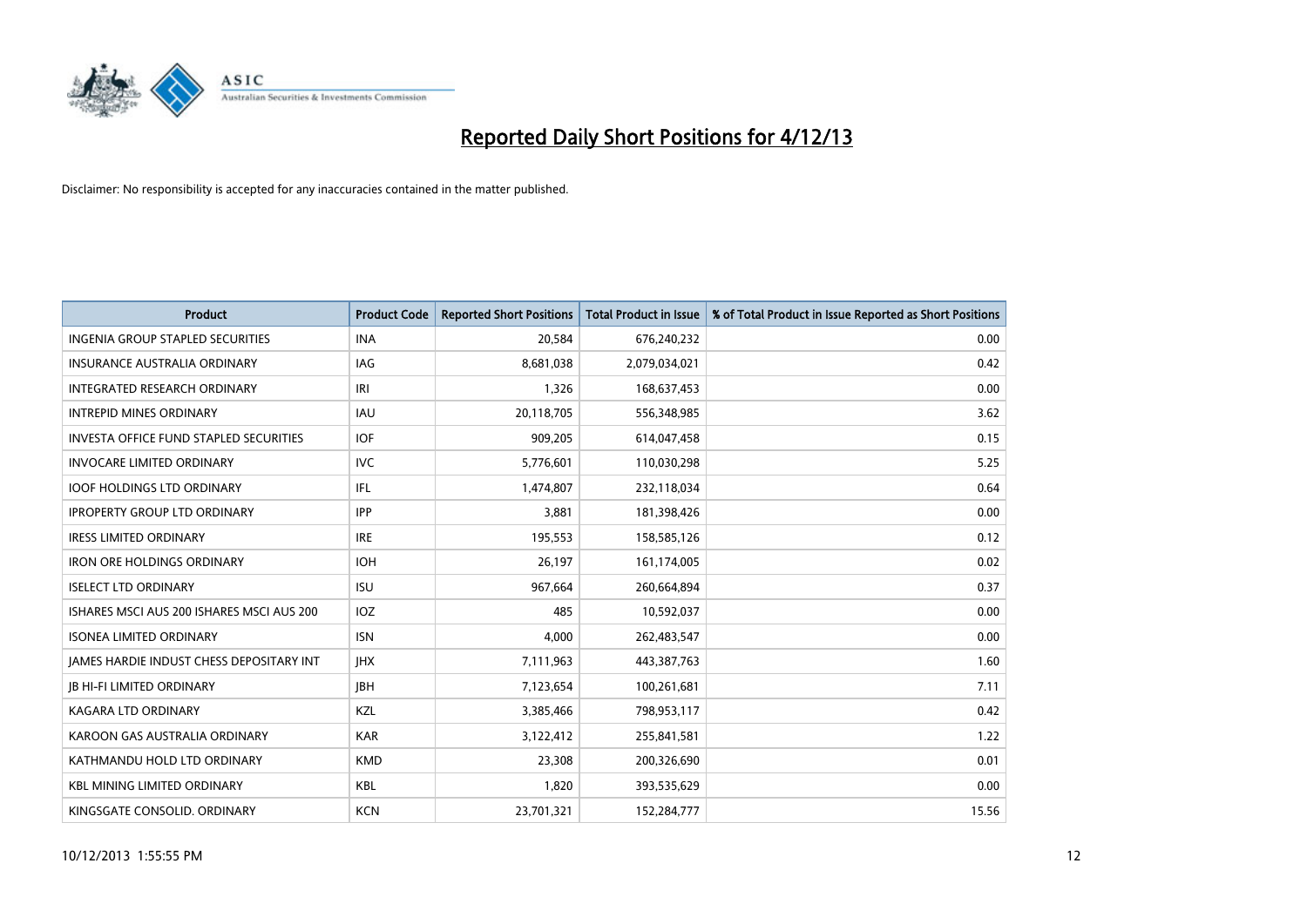

| Product                                         | <b>Product Code</b> | <b>Reported Short Positions</b> | <b>Total Product in Issue</b> | % of Total Product in Issue Reported as Short Positions |
|-------------------------------------------------|---------------------|---------------------------------|-------------------------------|---------------------------------------------------------|
| <b>INGENIA GROUP STAPLED SECURITIES</b>         | <b>INA</b>          | 20,584                          | 676,240,232                   | 0.00                                                    |
| INSURANCE AUSTRALIA ORDINARY                    | IAG                 | 8,681,038                       | 2,079,034,021                 | 0.42                                                    |
| INTEGRATED RESEARCH ORDINARY                    | IRI                 | 1,326                           | 168,637,453                   | 0.00                                                    |
| <b>INTREPID MINES ORDINARY</b>                  | <b>IAU</b>          | 20,118,705                      | 556,348,985                   | 3.62                                                    |
| <b>INVESTA OFFICE FUND STAPLED SECURITIES</b>   | <b>IOF</b>          | 909,205                         | 614,047,458                   | 0.15                                                    |
| <b>INVOCARE LIMITED ORDINARY</b>                | <b>IVC</b>          | 5,776,601                       | 110,030,298                   | 5.25                                                    |
| <b>IOOF HOLDINGS LTD ORDINARY</b>               | IFL                 | 1,474,807                       | 232,118,034                   | 0.64                                                    |
| <b>IPROPERTY GROUP LTD ORDINARY</b>             | <b>IPP</b>          | 3,881                           | 181,398,426                   | 0.00                                                    |
| <b>IRESS LIMITED ORDINARY</b>                   | <b>IRE</b>          | 195,553                         | 158,585,126                   | 0.12                                                    |
| <b>IRON ORE HOLDINGS ORDINARY</b>               | <b>IOH</b>          | 26,197                          | 161,174,005                   | 0.02                                                    |
| <b>ISELECT LTD ORDINARY</b>                     | <b>ISU</b>          | 967,664                         | 260,664,894                   | 0.37                                                    |
| ISHARES MSCI AUS 200 ISHARES MSCI AUS 200       | IOZ                 | 485                             | 10,592,037                    | 0.00                                                    |
| <b>ISONEA LIMITED ORDINARY</b>                  | <b>ISN</b>          | 4,000                           | 262,483,547                   | 0.00                                                    |
| <b>IAMES HARDIE INDUST CHESS DEPOSITARY INT</b> | <b>IHX</b>          | 7,111,963                       | 443,387,763                   | 1.60                                                    |
| <b>JB HI-FI LIMITED ORDINARY</b>                | <b>IBH</b>          | 7,123,654                       | 100,261,681                   | 7.11                                                    |
| KAGARA LTD ORDINARY                             | KZL                 | 3,385,466                       | 798,953,117                   | 0.42                                                    |
| KAROON GAS AUSTRALIA ORDINARY                   | <b>KAR</b>          | 3,122,412                       | 255,841,581                   | 1.22                                                    |
| KATHMANDU HOLD LTD ORDINARY                     | <b>KMD</b>          | 23,308                          | 200,326,690                   | 0.01                                                    |
| <b>KBL MINING LIMITED ORDINARY</b>              | <b>KBL</b>          | 1,820                           | 393,535,629                   | 0.00                                                    |
| KINGSGATE CONSOLID. ORDINARY                    | <b>KCN</b>          | 23,701,321                      | 152,284,777                   | 15.56                                                   |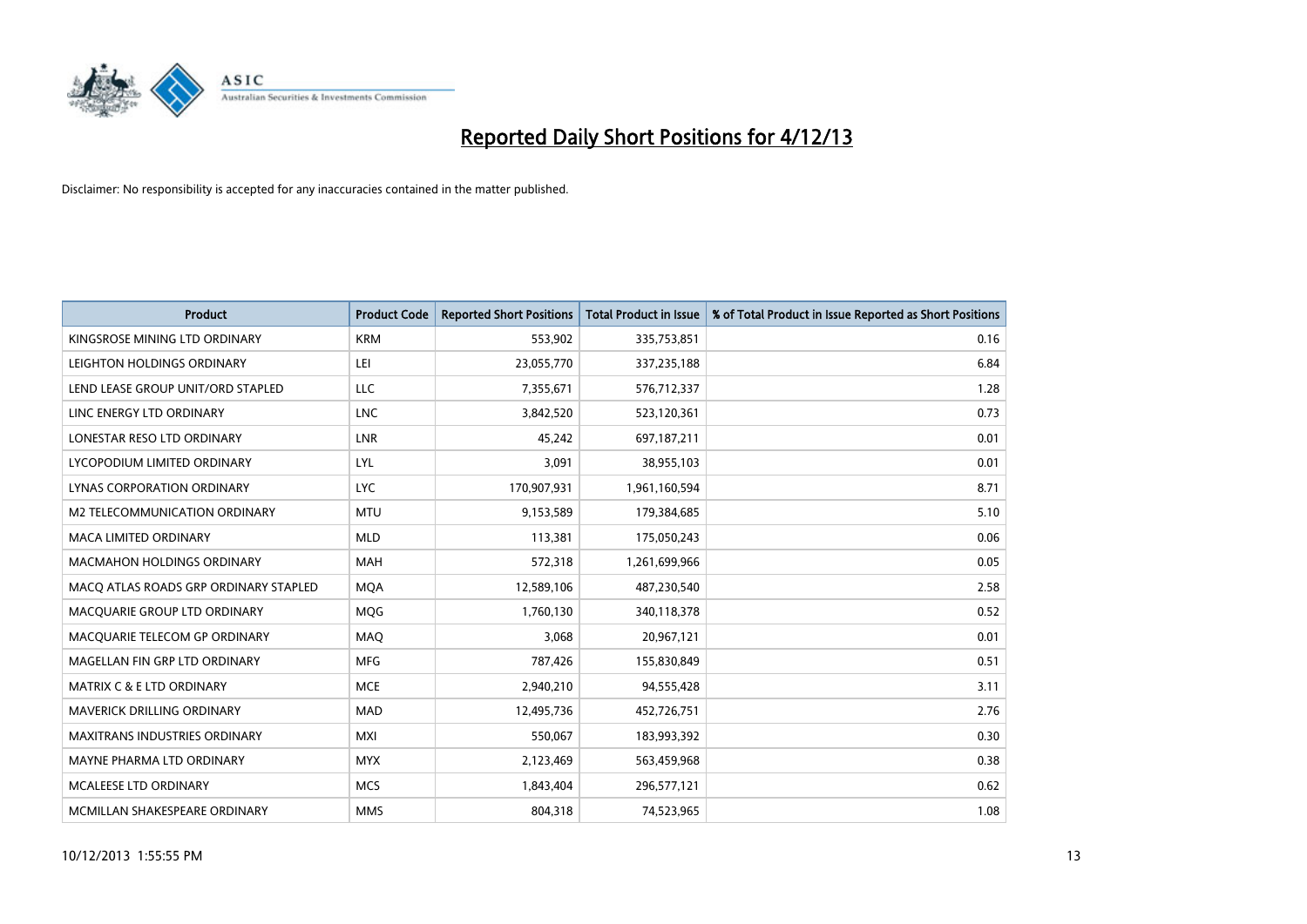

| <b>Product</b>                        | <b>Product Code</b> | <b>Reported Short Positions</b> | <b>Total Product in Issue</b> | % of Total Product in Issue Reported as Short Positions |
|---------------------------------------|---------------------|---------------------------------|-------------------------------|---------------------------------------------------------|
| KINGSROSE MINING LTD ORDINARY         | <b>KRM</b>          | 553,902                         | 335,753,851                   | 0.16                                                    |
| LEIGHTON HOLDINGS ORDINARY            | LEI                 | 23,055,770                      | 337,235,188                   | 6.84                                                    |
| LEND LEASE GROUP UNIT/ORD STAPLED     | <b>LLC</b>          | 7,355,671                       | 576,712,337                   | 1.28                                                    |
| LINC ENERGY LTD ORDINARY              | <b>LNC</b>          | 3,842,520                       | 523,120,361                   | 0.73                                                    |
| LONESTAR RESO LTD ORDINARY            | <b>LNR</b>          | 45,242                          | 697,187,211                   | 0.01                                                    |
| LYCOPODIUM LIMITED ORDINARY           | <b>LYL</b>          | 3,091                           | 38,955,103                    | 0.01                                                    |
| LYNAS CORPORATION ORDINARY            | <b>LYC</b>          | 170,907,931                     | 1,961,160,594                 | 8.71                                                    |
| M2 TELECOMMUNICATION ORDINARY         | <b>MTU</b>          | 9,153,589                       | 179,384,685                   | 5.10                                                    |
| <b>MACA LIMITED ORDINARY</b>          | <b>MLD</b>          | 113,381                         | 175,050,243                   | 0.06                                                    |
| <b>MACMAHON HOLDINGS ORDINARY</b>     | <b>MAH</b>          | 572,318                         | 1,261,699,966                 | 0.05                                                    |
| MACO ATLAS ROADS GRP ORDINARY STAPLED | <b>MOA</b>          | 12,589,106                      | 487,230,540                   | 2.58                                                    |
| MACQUARIE GROUP LTD ORDINARY          | MQG                 | 1,760,130                       | 340,118,378                   | 0.52                                                    |
| MACQUARIE TELECOM GP ORDINARY         | MAQ                 | 3,068                           | 20,967,121                    | 0.01                                                    |
| MAGELLAN FIN GRP LTD ORDINARY         | <b>MFG</b>          | 787,426                         | 155,830,849                   | 0.51                                                    |
| <b>MATRIX C &amp; E LTD ORDINARY</b>  | <b>MCE</b>          | 2,940,210                       | 94,555,428                    | 3.11                                                    |
| MAVERICK DRILLING ORDINARY            | <b>MAD</b>          | 12,495,736                      | 452,726,751                   | 2.76                                                    |
| MAXITRANS INDUSTRIES ORDINARY         | <b>MXI</b>          | 550,067                         | 183,993,392                   | 0.30                                                    |
| MAYNE PHARMA LTD ORDINARY             | <b>MYX</b>          | 2,123,469                       | 563,459,968                   | 0.38                                                    |
| MCALEESE LTD ORDINARY                 | <b>MCS</b>          | 1,843,404                       | 296,577,121                   | 0.62                                                    |
| MCMILLAN SHAKESPEARE ORDINARY         | <b>MMS</b>          | 804,318                         | 74,523,965                    | 1.08                                                    |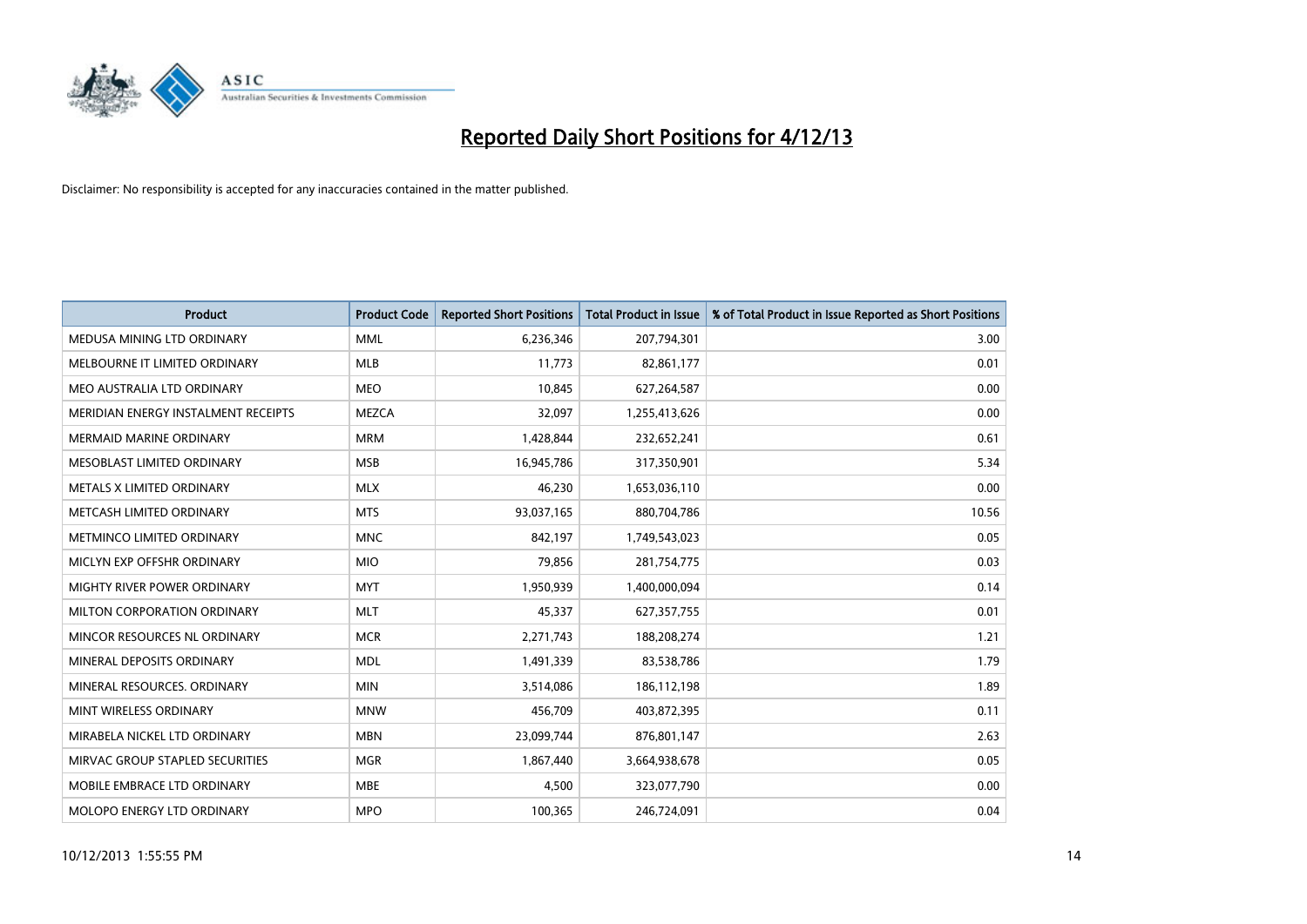

| <b>Product</b>                      | <b>Product Code</b> | <b>Reported Short Positions</b> | <b>Total Product in Issue</b> | % of Total Product in Issue Reported as Short Positions |
|-------------------------------------|---------------------|---------------------------------|-------------------------------|---------------------------------------------------------|
| MEDUSA MINING LTD ORDINARY          | <b>MML</b>          | 6,236,346                       | 207,794,301                   | 3.00                                                    |
| MELBOURNE IT LIMITED ORDINARY       | <b>MLB</b>          | 11,773                          | 82,861,177                    | 0.01                                                    |
| MEO AUSTRALIA LTD ORDINARY          | <b>MEO</b>          | 10,845                          | 627,264,587                   | 0.00                                                    |
| MERIDIAN ENERGY INSTALMENT RECEIPTS | <b>MEZCA</b>        | 32,097                          | 1,255,413,626                 | 0.00                                                    |
| <b>MERMAID MARINE ORDINARY</b>      | <b>MRM</b>          | 1,428,844                       | 232,652,241                   | 0.61                                                    |
| MESOBLAST LIMITED ORDINARY          | <b>MSB</b>          | 16,945,786                      | 317,350,901                   | 5.34                                                    |
| METALS X LIMITED ORDINARY           | <b>MLX</b>          | 46,230                          | 1,653,036,110                 | 0.00                                                    |
| METCASH LIMITED ORDINARY            | <b>MTS</b>          | 93,037,165                      | 880,704,786                   | 10.56                                                   |
| METMINCO LIMITED ORDINARY           | <b>MNC</b>          | 842,197                         | 1,749,543,023                 | 0.05                                                    |
| MICLYN EXP OFFSHR ORDINARY          | <b>MIO</b>          | 79,856                          | 281,754,775                   | 0.03                                                    |
| MIGHTY RIVER POWER ORDINARY         | <b>MYT</b>          | 1,950,939                       | 1,400,000,094                 | 0.14                                                    |
| MILTON CORPORATION ORDINARY         | <b>MLT</b>          | 45,337                          | 627,357,755                   | 0.01                                                    |
| MINCOR RESOURCES NL ORDINARY        | <b>MCR</b>          | 2,271,743                       | 188,208,274                   | 1.21                                                    |
| MINERAL DEPOSITS ORDINARY           | <b>MDL</b>          | 1,491,339                       | 83,538,786                    | 1.79                                                    |
| MINERAL RESOURCES, ORDINARY         | <b>MIN</b>          | 3,514,086                       | 186,112,198                   | 1.89                                                    |
| MINT WIRELESS ORDINARY              | <b>MNW</b>          | 456,709                         | 403,872,395                   | 0.11                                                    |
| MIRABELA NICKEL LTD ORDINARY        | <b>MBN</b>          | 23,099,744                      | 876,801,147                   | 2.63                                                    |
| MIRVAC GROUP STAPLED SECURITIES     | <b>MGR</b>          | 1,867,440                       | 3,664,938,678                 | 0.05                                                    |
| MOBILE EMBRACE LTD ORDINARY         | <b>MBE</b>          | 4,500                           | 323,077,790                   | 0.00                                                    |
| MOLOPO ENERGY LTD ORDINARY          | <b>MPO</b>          | 100,365                         | 246,724,091                   | 0.04                                                    |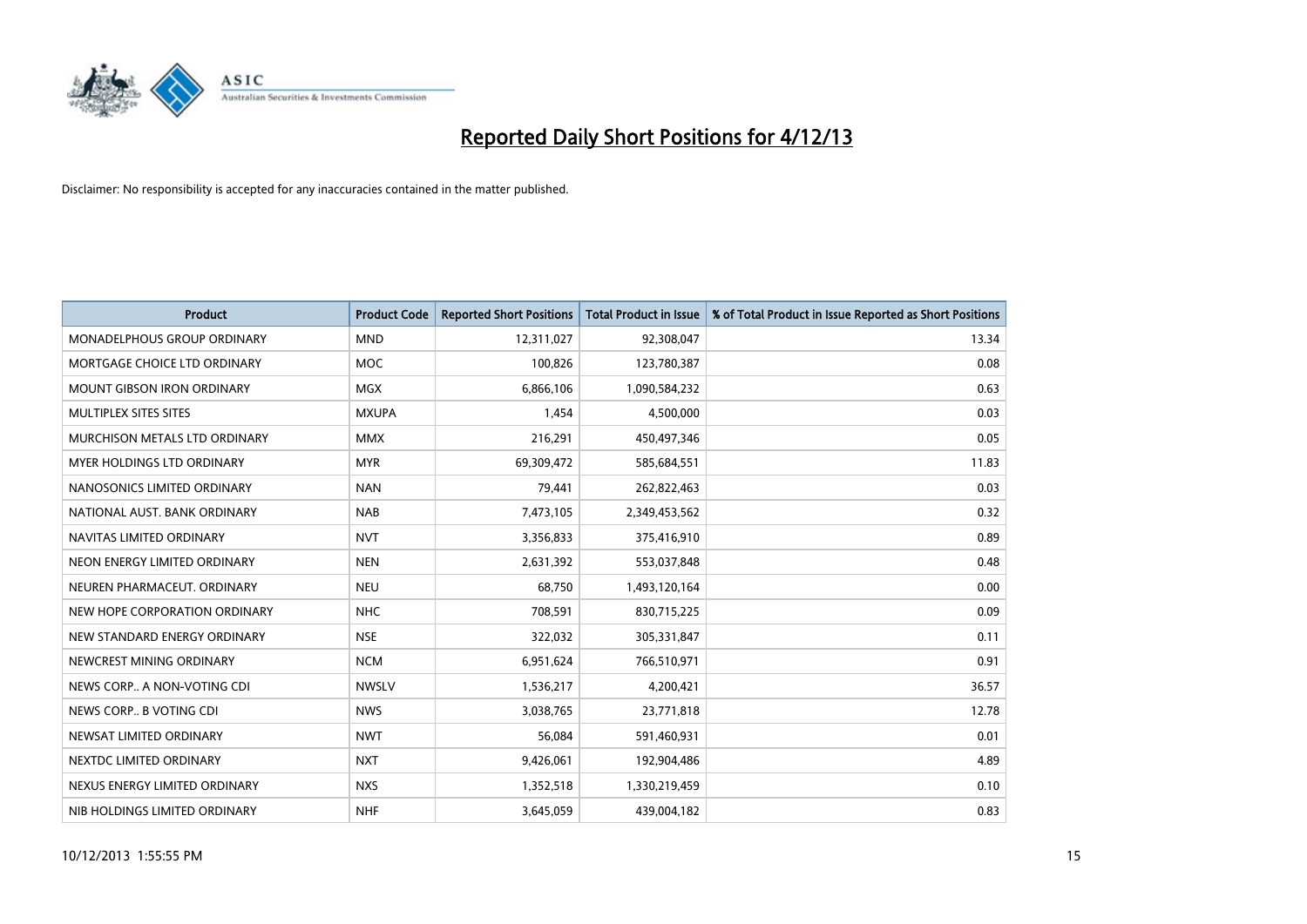

| <b>Product</b>                    | <b>Product Code</b> | <b>Reported Short Positions</b> | <b>Total Product in Issue</b> | % of Total Product in Issue Reported as Short Positions |
|-----------------------------------|---------------------|---------------------------------|-------------------------------|---------------------------------------------------------|
| MONADELPHOUS GROUP ORDINARY       | <b>MND</b>          | 12,311,027                      | 92,308,047                    | 13.34                                                   |
| MORTGAGE CHOICE LTD ORDINARY      | MOC                 | 100,826                         | 123,780,387                   | 0.08                                                    |
| <b>MOUNT GIBSON IRON ORDINARY</b> | <b>MGX</b>          | 6,866,106                       | 1,090,584,232                 | 0.63                                                    |
| MULTIPLEX SITES SITES             | <b>MXUPA</b>        | 1,454                           | 4,500,000                     | 0.03                                                    |
| MURCHISON METALS LTD ORDINARY     | <b>MMX</b>          | 216,291                         | 450,497,346                   | 0.05                                                    |
| MYER HOLDINGS LTD ORDINARY        | <b>MYR</b>          | 69,309,472                      | 585,684,551                   | 11.83                                                   |
| NANOSONICS LIMITED ORDINARY       | <b>NAN</b>          | 79,441                          | 262,822,463                   | 0.03                                                    |
| NATIONAL AUST. BANK ORDINARY      | <b>NAB</b>          | 7,473,105                       | 2,349,453,562                 | 0.32                                                    |
| NAVITAS LIMITED ORDINARY          | <b>NVT</b>          | 3,356,833                       | 375,416,910                   | 0.89                                                    |
| NEON ENERGY LIMITED ORDINARY      | <b>NEN</b>          | 2,631,392                       | 553,037,848                   | 0.48                                                    |
| NEUREN PHARMACEUT. ORDINARY       | <b>NEU</b>          | 68,750                          | 1,493,120,164                 | 0.00                                                    |
| NEW HOPE CORPORATION ORDINARY     | <b>NHC</b>          | 708,591                         | 830,715,225                   | 0.09                                                    |
| NEW STANDARD ENERGY ORDINARY      | <b>NSE</b>          | 322,032                         | 305,331,847                   | 0.11                                                    |
| NEWCREST MINING ORDINARY          | <b>NCM</b>          | 6,951,624                       | 766,510,971                   | 0.91                                                    |
| NEWS CORP A NON-VOTING CDI        | <b>NWSLV</b>        | 1,536,217                       | 4,200,421                     | 36.57                                                   |
| NEWS CORP B VOTING CDI            | <b>NWS</b>          | 3,038,765                       | 23,771,818                    | 12.78                                                   |
| NEWSAT LIMITED ORDINARY           | <b>NWT</b>          | 56,084                          | 591,460,931                   | 0.01                                                    |
| NEXTDC LIMITED ORDINARY           | <b>NXT</b>          | 9,426,061                       | 192,904,486                   | 4.89                                                    |
| NEXUS ENERGY LIMITED ORDINARY     | <b>NXS</b>          | 1,352,518                       | 1,330,219,459                 | 0.10                                                    |
| NIB HOLDINGS LIMITED ORDINARY     | <b>NHF</b>          | 3,645,059                       | 439,004,182                   | 0.83                                                    |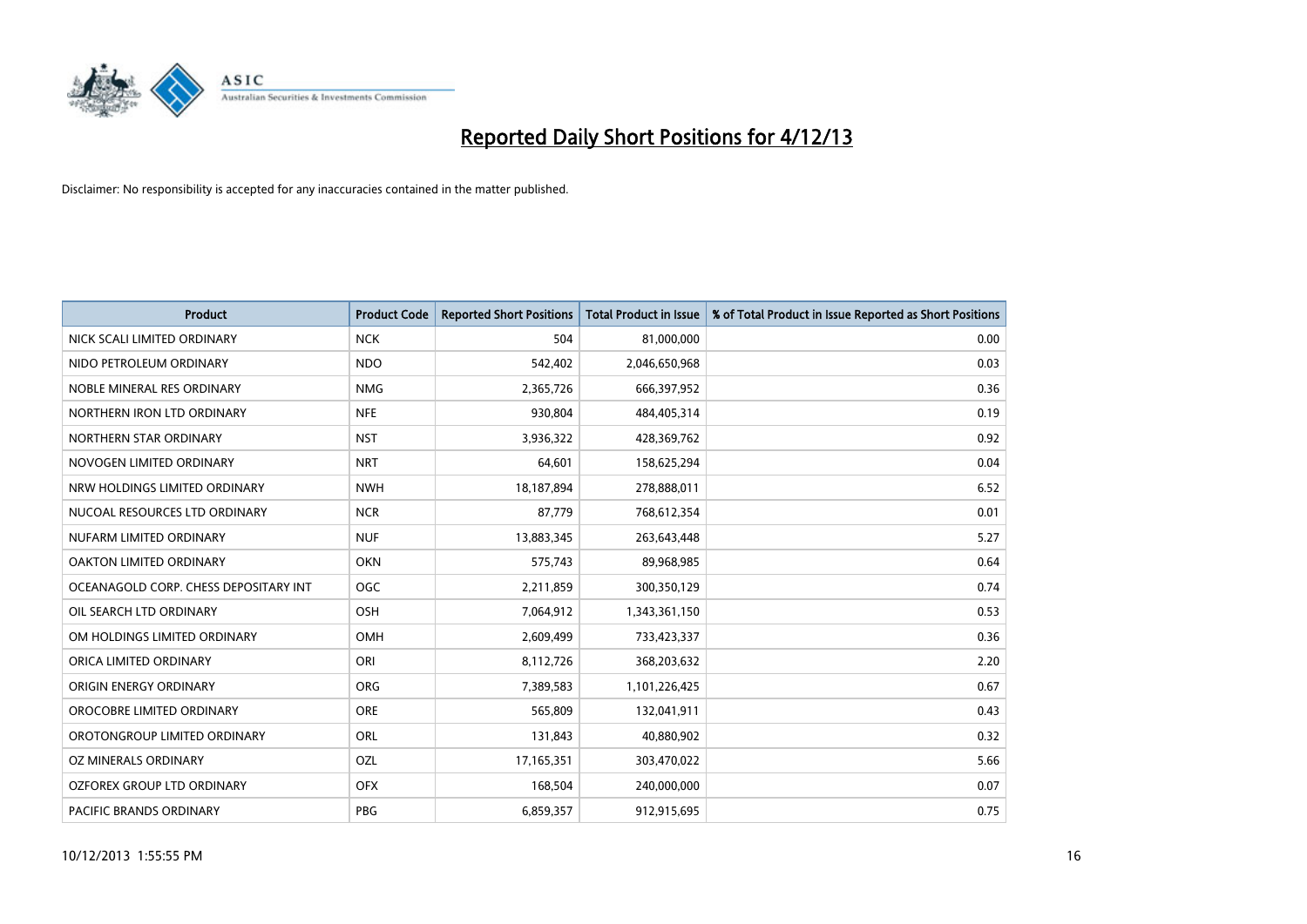

| <b>Product</b>                        | <b>Product Code</b> | <b>Reported Short Positions</b> | <b>Total Product in Issue</b> | % of Total Product in Issue Reported as Short Positions |
|---------------------------------------|---------------------|---------------------------------|-------------------------------|---------------------------------------------------------|
| NICK SCALI LIMITED ORDINARY           | <b>NCK</b>          | 504                             | 81,000,000                    | 0.00                                                    |
| NIDO PETROLEUM ORDINARY               | <b>NDO</b>          | 542,402                         | 2,046,650,968                 | 0.03                                                    |
| NOBLE MINERAL RES ORDINARY            | <b>NMG</b>          | 2,365,726                       | 666,397,952                   | 0.36                                                    |
| NORTHERN IRON LTD ORDINARY            | <b>NFE</b>          | 930,804                         | 484,405,314                   | 0.19                                                    |
| NORTHERN STAR ORDINARY                | <b>NST</b>          | 3,936,322                       | 428,369,762                   | 0.92                                                    |
| NOVOGEN LIMITED ORDINARY              | <b>NRT</b>          | 64,601                          | 158,625,294                   | 0.04                                                    |
| NRW HOLDINGS LIMITED ORDINARY         | <b>NWH</b>          | 18,187,894                      | 278,888,011                   | 6.52                                                    |
| NUCOAL RESOURCES LTD ORDINARY         | <b>NCR</b>          | 87,779                          | 768,612,354                   | 0.01                                                    |
| NUFARM LIMITED ORDINARY               | <b>NUF</b>          | 13,883,345                      | 263,643,448                   | 5.27                                                    |
| <b>OAKTON LIMITED ORDINARY</b>        | <b>OKN</b>          | 575,743                         | 89,968,985                    | 0.64                                                    |
| OCEANAGOLD CORP. CHESS DEPOSITARY INT | <b>OGC</b>          | 2,211,859                       | 300,350,129                   | 0.74                                                    |
| OIL SEARCH LTD ORDINARY               | <b>OSH</b>          | 7,064,912                       | 1,343,361,150                 | 0.53                                                    |
| OM HOLDINGS LIMITED ORDINARY          | OMH                 | 2,609,499                       | 733,423,337                   | 0.36                                                    |
| ORICA LIMITED ORDINARY                | ORI                 | 8,112,726                       | 368,203,632                   | 2.20                                                    |
| ORIGIN ENERGY ORDINARY                | <b>ORG</b>          | 7,389,583                       | 1,101,226,425                 | 0.67                                                    |
| OROCOBRE LIMITED ORDINARY             | <b>ORE</b>          | 565,809                         | 132,041,911                   | 0.43                                                    |
| OROTONGROUP LIMITED ORDINARY          | ORL                 | 131,843                         | 40,880,902                    | 0.32                                                    |
| OZ MINERALS ORDINARY                  | OZL                 | 17,165,351                      | 303,470,022                   | 5.66                                                    |
| OZFOREX GROUP LTD ORDINARY            | <b>OFX</b>          | 168,504                         | 240,000,000                   | 0.07                                                    |
| PACIFIC BRANDS ORDINARY               | <b>PBG</b>          | 6,859,357                       | 912,915,695                   | 0.75                                                    |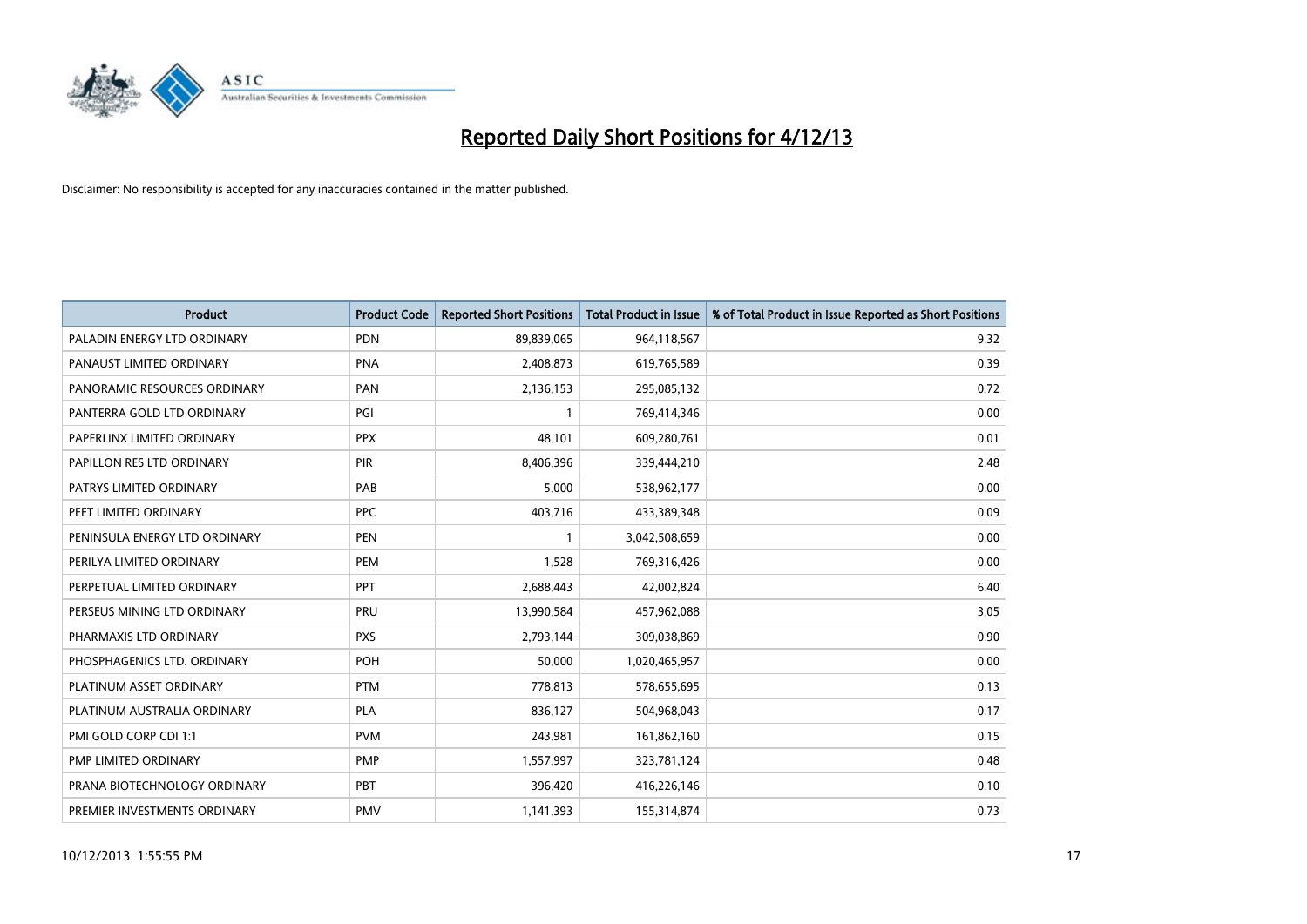

| <b>Product</b>                | <b>Product Code</b> | <b>Reported Short Positions</b> | <b>Total Product in Issue</b> | % of Total Product in Issue Reported as Short Positions |
|-------------------------------|---------------------|---------------------------------|-------------------------------|---------------------------------------------------------|
| PALADIN ENERGY LTD ORDINARY   | <b>PDN</b>          | 89,839,065                      | 964,118,567                   | 9.32                                                    |
| PANAUST LIMITED ORDINARY      | <b>PNA</b>          | 2,408,873                       | 619,765,589                   | 0.39                                                    |
| PANORAMIC RESOURCES ORDINARY  | PAN                 | 2,136,153                       | 295,085,132                   | 0.72                                                    |
| PANTERRA GOLD LTD ORDINARY    | PGI                 | $\mathbf{1}$                    | 769,414,346                   | 0.00                                                    |
| PAPERLINX LIMITED ORDINARY    | <b>PPX</b>          | 48,101                          | 609,280,761                   | 0.01                                                    |
| PAPILLON RES LTD ORDINARY     | <b>PIR</b>          | 8,406,396                       | 339,444,210                   | 2.48                                                    |
| PATRYS LIMITED ORDINARY       | PAB                 | 5,000                           | 538,962,177                   | 0.00                                                    |
| PEET LIMITED ORDINARY         | <b>PPC</b>          | 403,716                         | 433,389,348                   | 0.09                                                    |
| PENINSULA ENERGY LTD ORDINARY | <b>PEN</b>          | $\mathbf{1}$                    | 3,042,508,659                 | 0.00                                                    |
| PERILYA LIMITED ORDINARY      | <b>PEM</b>          | 1,528                           | 769,316,426                   | 0.00                                                    |
| PERPETUAL LIMITED ORDINARY    | <b>PPT</b>          | 2,688,443                       | 42,002,824                    | 6.40                                                    |
| PERSEUS MINING LTD ORDINARY   | PRU                 | 13,990,584                      | 457,962,088                   | 3.05                                                    |
| PHARMAXIS LTD ORDINARY        | <b>PXS</b>          | 2,793,144                       | 309,038,869                   | 0.90                                                    |
| PHOSPHAGENICS LTD. ORDINARY   | POH                 | 50,000                          | 1,020,465,957                 | 0.00                                                    |
| PLATINUM ASSET ORDINARY       | <b>PTM</b>          | 778,813                         | 578,655,695                   | 0.13                                                    |
| PLATINUM AUSTRALIA ORDINARY   | <b>PLA</b>          | 836,127                         | 504,968,043                   | 0.17                                                    |
| PMI GOLD CORP CDI 1:1         | <b>PVM</b>          | 243,981                         | 161,862,160                   | 0.15                                                    |
| PMP LIMITED ORDINARY          | <b>PMP</b>          | 1,557,997                       | 323,781,124                   | 0.48                                                    |
| PRANA BIOTECHNOLOGY ORDINARY  | <b>PBT</b>          | 396,420                         | 416,226,146                   | 0.10                                                    |
| PREMIER INVESTMENTS ORDINARY  | <b>PMV</b>          | 1,141,393                       | 155,314,874                   | 0.73                                                    |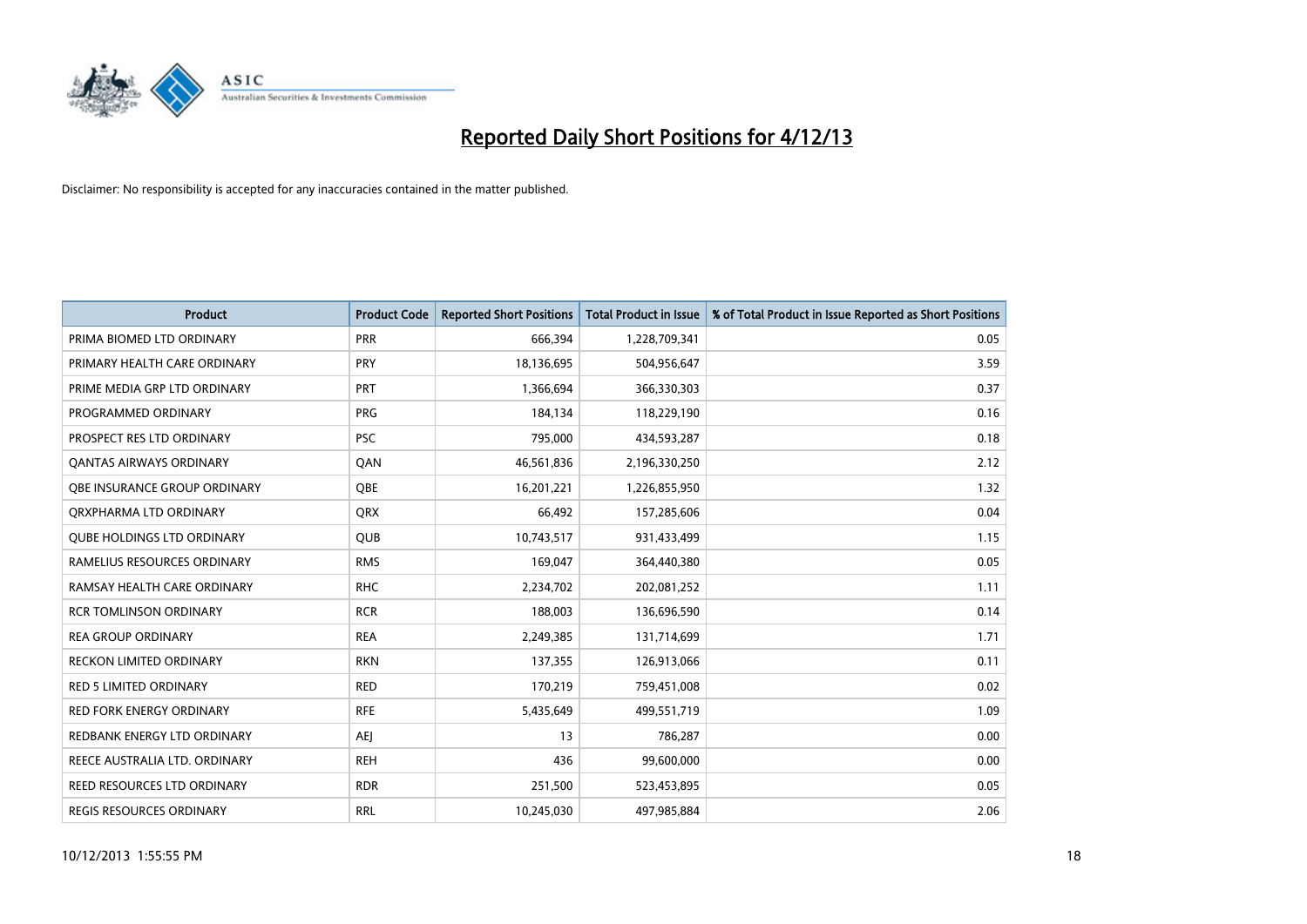

| <b>Product</b>                     | <b>Product Code</b> | <b>Reported Short Positions</b> | <b>Total Product in Issue</b> | % of Total Product in Issue Reported as Short Positions |
|------------------------------------|---------------------|---------------------------------|-------------------------------|---------------------------------------------------------|
| PRIMA BIOMED LTD ORDINARY          | <b>PRR</b>          | 666,394                         | 1,228,709,341                 | 0.05                                                    |
| PRIMARY HEALTH CARE ORDINARY       | <b>PRY</b>          | 18,136,695                      | 504,956,647                   | 3.59                                                    |
| PRIME MEDIA GRP LTD ORDINARY       | <b>PRT</b>          | 1,366,694                       | 366,330,303                   | 0.37                                                    |
| PROGRAMMED ORDINARY                | <b>PRG</b>          | 184,134                         | 118,229,190                   | 0.16                                                    |
| PROSPECT RES LTD ORDINARY          | <b>PSC</b>          | 795,000                         | 434,593,287                   | 0.18                                                    |
| <b>QANTAS AIRWAYS ORDINARY</b>     | QAN                 | 46,561,836                      | 2,196,330,250                 | 2.12                                                    |
| OBE INSURANCE GROUP ORDINARY       | <b>OBE</b>          | 16,201,221                      | 1,226,855,950                 | 1.32                                                    |
| ORXPHARMA LTD ORDINARY             | <b>QRX</b>          | 66,492                          | 157,285,606                   | 0.04                                                    |
| <b>QUBE HOLDINGS LTD ORDINARY</b>  | <b>QUB</b>          | 10,743,517                      | 931,433,499                   | 1.15                                                    |
| RAMELIUS RESOURCES ORDINARY        | <b>RMS</b>          | 169,047                         | 364,440,380                   | 0.05                                                    |
| RAMSAY HEALTH CARE ORDINARY        | <b>RHC</b>          | 2,234,702                       | 202,081,252                   | 1.11                                                    |
| <b>RCR TOMLINSON ORDINARY</b>      | <b>RCR</b>          | 188,003                         | 136,696,590                   | 0.14                                                    |
| <b>REA GROUP ORDINARY</b>          | <b>REA</b>          | 2,249,385                       | 131,714,699                   | 1.71                                                    |
| <b>RECKON LIMITED ORDINARY</b>     | <b>RKN</b>          | 137,355                         | 126,913,066                   | 0.11                                                    |
| <b>RED 5 LIMITED ORDINARY</b>      | <b>RED</b>          | 170,219                         | 759,451,008                   | 0.02                                                    |
| RED FORK ENERGY ORDINARY           | <b>RFE</b>          | 5,435,649                       | 499,551,719                   | 1.09                                                    |
| REDBANK ENERGY LTD ORDINARY        | <b>AEJ</b>          | 13                              | 786,287                       | 0.00                                                    |
| REECE AUSTRALIA LTD. ORDINARY      | <b>REH</b>          | 436                             | 99,600,000                    | 0.00                                                    |
| <b>REED RESOURCES LTD ORDINARY</b> | <b>RDR</b>          | 251,500                         | 523,453,895                   | 0.05                                                    |
| REGIS RESOURCES ORDINARY           | <b>RRL</b>          | 10,245,030                      | 497,985,884                   | 2.06                                                    |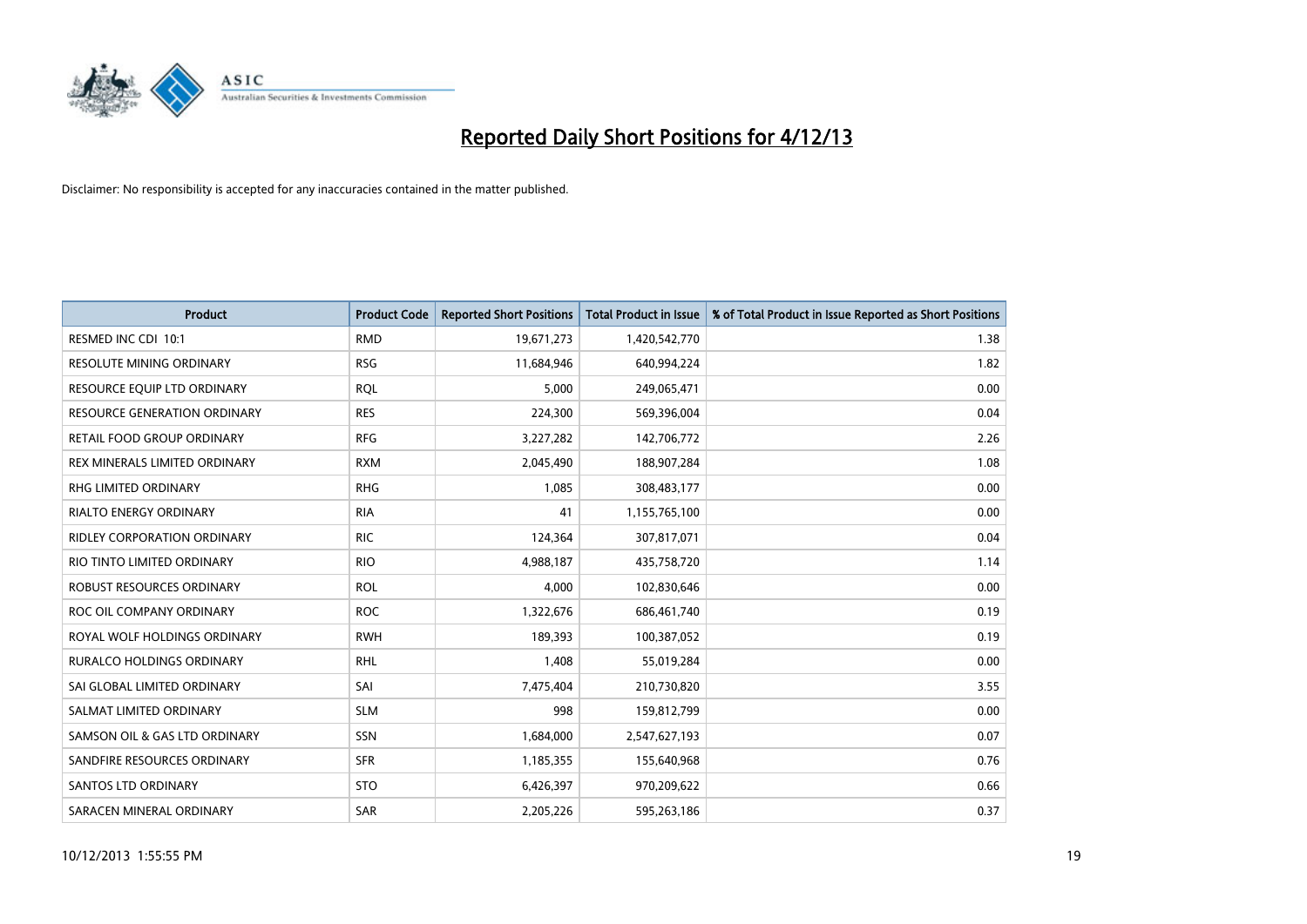

| <b>Product</b>                      | <b>Product Code</b> | <b>Reported Short Positions</b> | <b>Total Product in Issue</b> | % of Total Product in Issue Reported as Short Positions |
|-------------------------------------|---------------------|---------------------------------|-------------------------------|---------------------------------------------------------|
| RESMED INC CDI 10:1                 | <b>RMD</b>          | 19,671,273                      | 1,420,542,770                 | 1.38                                                    |
| RESOLUTE MINING ORDINARY            | <b>RSG</b>          | 11,684,946                      | 640,994,224                   | 1.82                                                    |
| RESOURCE EQUIP LTD ORDINARY         | <b>ROL</b>          | 5,000                           | 249,065,471                   | 0.00                                                    |
| <b>RESOURCE GENERATION ORDINARY</b> | <b>RES</b>          | 224,300                         | 569,396,004                   | 0.04                                                    |
| <b>RETAIL FOOD GROUP ORDINARY</b>   | <b>RFG</b>          | 3,227,282                       | 142,706,772                   | 2.26                                                    |
| REX MINERALS LIMITED ORDINARY       | <b>RXM</b>          | 2,045,490                       | 188,907,284                   | 1.08                                                    |
| <b>RHG LIMITED ORDINARY</b>         | <b>RHG</b>          | 1,085                           | 308,483,177                   | 0.00                                                    |
| RIALTO ENERGY ORDINARY              | <b>RIA</b>          | 41                              | 1,155,765,100                 | 0.00                                                    |
| <b>RIDLEY CORPORATION ORDINARY</b>  | <b>RIC</b>          | 124,364                         | 307,817,071                   | 0.04                                                    |
| RIO TINTO LIMITED ORDINARY          | <b>RIO</b>          | 4,988,187                       | 435,758,720                   | 1.14                                                    |
| ROBUST RESOURCES ORDINARY           | <b>ROL</b>          | 4,000                           | 102,830,646                   | 0.00                                                    |
| ROC OIL COMPANY ORDINARY            | <b>ROC</b>          | 1,322,676                       | 686,461,740                   | 0.19                                                    |
| ROYAL WOLF HOLDINGS ORDINARY        | <b>RWH</b>          | 189,393                         | 100,387,052                   | 0.19                                                    |
| <b>RURALCO HOLDINGS ORDINARY</b>    | <b>RHL</b>          | 1,408                           | 55,019,284                    | 0.00                                                    |
| SAI GLOBAL LIMITED ORDINARY         | SAI                 | 7,475,404                       | 210,730,820                   | 3.55                                                    |
| SALMAT LIMITED ORDINARY             | <b>SLM</b>          | 998                             | 159,812,799                   | 0.00                                                    |
| SAMSON OIL & GAS LTD ORDINARY       | SSN                 | 1,684,000                       | 2,547,627,193                 | 0.07                                                    |
| SANDFIRE RESOURCES ORDINARY         | <b>SFR</b>          | 1,185,355                       | 155,640,968                   | 0.76                                                    |
| SANTOS LTD ORDINARY                 | <b>STO</b>          | 6,426,397                       | 970,209,622                   | 0.66                                                    |
| SARACEN MINERAL ORDINARY            | SAR                 | 2,205,226                       | 595,263,186                   | 0.37                                                    |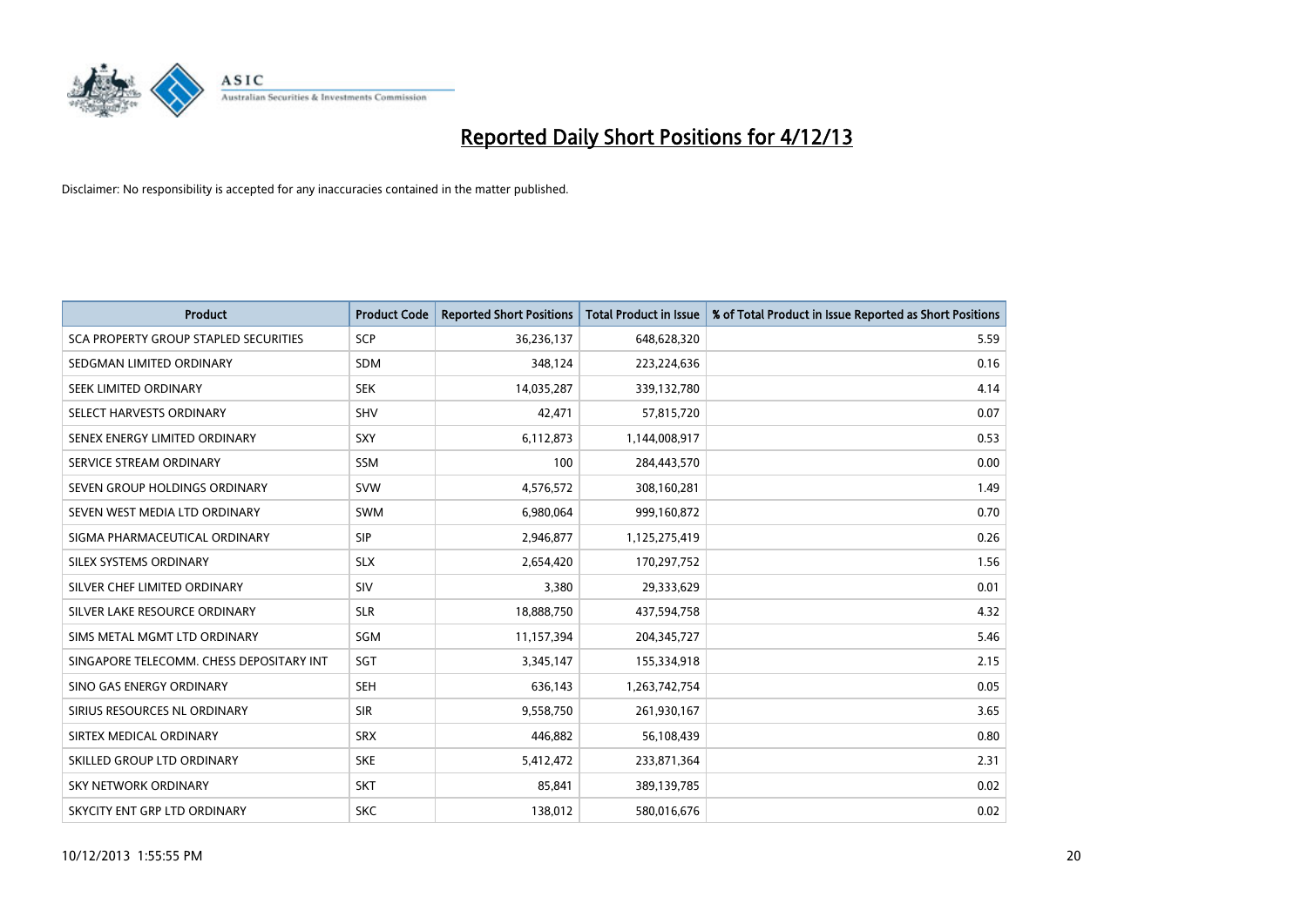

| <b>Product</b>                           | <b>Product Code</b> | <b>Reported Short Positions</b> | <b>Total Product in Issue</b> | % of Total Product in Issue Reported as Short Positions |
|------------------------------------------|---------------------|---------------------------------|-------------------------------|---------------------------------------------------------|
| SCA PROPERTY GROUP STAPLED SECURITIES    | SCP                 | 36,236,137                      | 648,628,320                   | 5.59                                                    |
| SEDGMAN LIMITED ORDINARY                 | <b>SDM</b>          | 348,124                         | 223,224,636                   | 0.16                                                    |
| SEEK LIMITED ORDINARY                    | <b>SEK</b>          | 14,035,287                      | 339,132,780                   | 4.14                                                    |
| SELECT HARVESTS ORDINARY                 | <b>SHV</b>          | 42,471                          | 57,815,720                    | 0.07                                                    |
| SENEX ENERGY LIMITED ORDINARY            | <b>SXY</b>          | 6,112,873                       | 1,144,008,917                 | 0.53                                                    |
| SERVICE STREAM ORDINARY                  | <b>SSM</b>          | 100                             | 284,443,570                   | 0.00                                                    |
| SEVEN GROUP HOLDINGS ORDINARY            | <b>SVW</b>          | 4,576,572                       | 308,160,281                   | 1.49                                                    |
| SEVEN WEST MEDIA LTD ORDINARY            | <b>SWM</b>          | 6,980,064                       | 999,160,872                   | 0.70                                                    |
| SIGMA PHARMACEUTICAL ORDINARY            | <b>SIP</b>          | 2,946,877                       | 1,125,275,419                 | 0.26                                                    |
| SILEX SYSTEMS ORDINARY                   | <b>SLX</b>          | 2,654,420                       | 170,297,752                   | 1.56                                                    |
| SILVER CHEF LIMITED ORDINARY             | <b>SIV</b>          | 3,380                           | 29,333,629                    | 0.01                                                    |
| SILVER LAKE RESOURCE ORDINARY            | <b>SLR</b>          | 18,888,750                      | 437,594,758                   | 4.32                                                    |
| SIMS METAL MGMT LTD ORDINARY             | SGM                 | 11,157,394                      | 204,345,727                   | 5.46                                                    |
| SINGAPORE TELECOMM. CHESS DEPOSITARY INT | SGT                 | 3,345,147                       | 155,334,918                   | 2.15                                                    |
| SINO GAS ENERGY ORDINARY                 | <b>SEH</b>          | 636,143                         | 1,263,742,754                 | 0.05                                                    |
| SIRIUS RESOURCES NL ORDINARY             | <b>SIR</b>          | 9,558,750                       | 261,930,167                   | 3.65                                                    |
| SIRTEX MEDICAL ORDINARY                  | <b>SRX</b>          | 446,882                         | 56,108,439                    | 0.80                                                    |
| SKILLED GROUP LTD ORDINARY               | <b>SKE</b>          | 5,412,472                       | 233,871,364                   | 2.31                                                    |
| <b>SKY NETWORK ORDINARY</b>              | <b>SKT</b>          | 85,841                          | 389,139,785                   | 0.02                                                    |
| SKYCITY ENT GRP LTD ORDINARY             | <b>SKC</b>          | 138,012                         | 580,016,676                   | 0.02                                                    |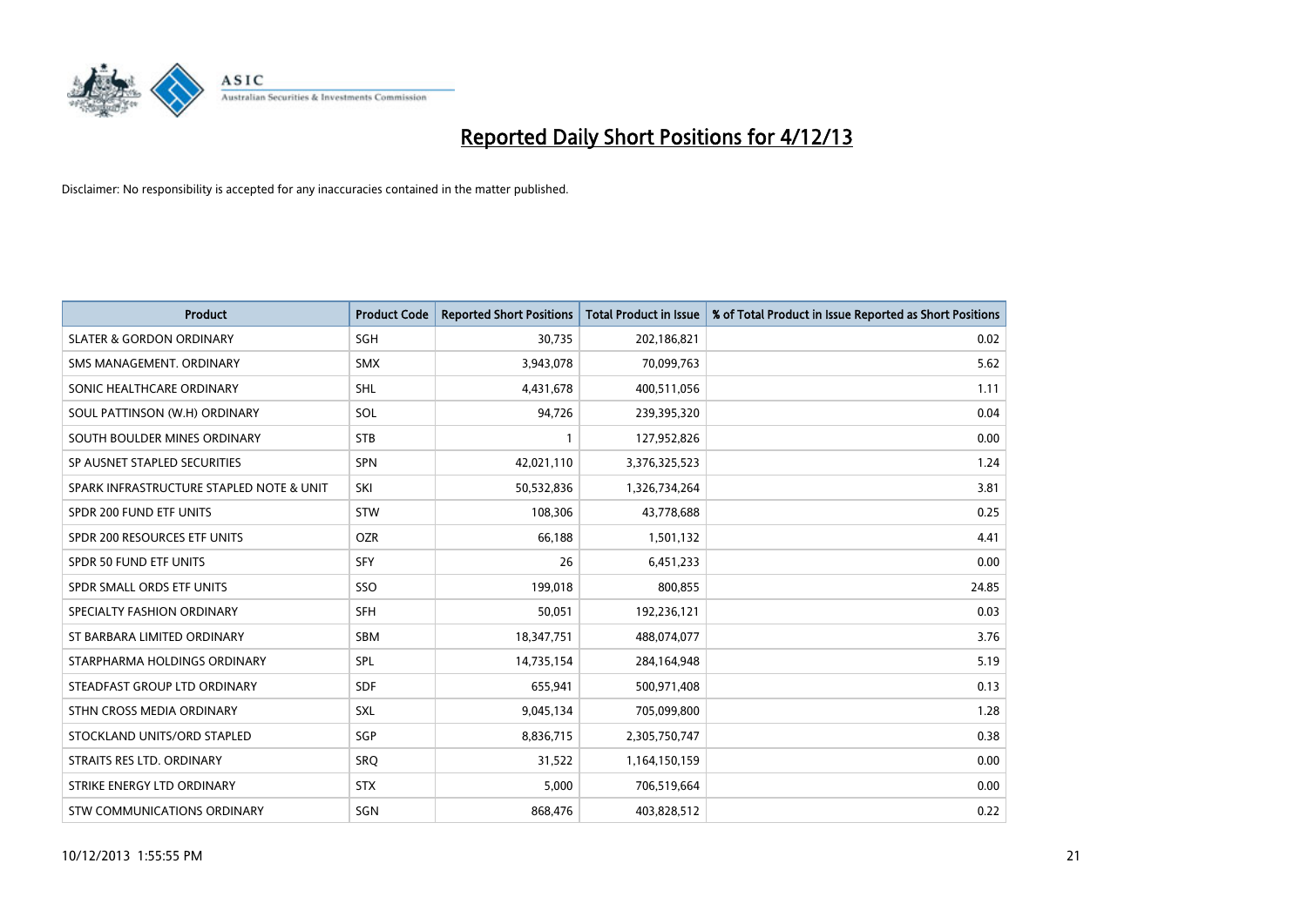

| <b>Product</b>                           | <b>Product Code</b> | <b>Reported Short Positions</b> | <b>Total Product in Issue</b> | % of Total Product in Issue Reported as Short Positions |
|------------------------------------------|---------------------|---------------------------------|-------------------------------|---------------------------------------------------------|
| <b>SLATER &amp; GORDON ORDINARY</b>      | SGH                 | 30,735                          | 202,186,821                   | 0.02                                                    |
| SMS MANAGEMENT. ORDINARY                 | <b>SMX</b>          | 3,943,078                       | 70,099,763                    | 5.62                                                    |
| SONIC HEALTHCARE ORDINARY                | <b>SHL</b>          | 4,431,678                       | 400,511,056                   | 1.11                                                    |
| SOUL PATTINSON (W.H) ORDINARY            | <b>SOL</b>          | 94,726                          | 239,395,320                   | 0.04                                                    |
| SOUTH BOULDER MINES ORDINARY             | <b>STB</b>          | 1                               | 127,952,826                   | 0.00                                                    |
| SP AUSNET STAPLED SECURITIES             | <b>SPN</b>          | 42,021,110                      | 3,376,325,523                 | 1.24                                                    |
| SPARK INFRASTRUCTURE STAPLED NOTE & UNIT | SKI                 | 50,532,836                      | 1,326,734,264                 | 3.81                                                    |
| SPDR 200 FUND ETF UNITS                  | <b>STW</b>          | 108,306                         | 43,778,688                    | 0.25                                                    |
| SPDR 200 RESOURCES ETF UNITS             | <b>OZR</b>          | 66,188                          | 1,501,132                     | 4.41                                                    |
| SPDR 50 FUND ETF UNITS                   | <b>SFY</b>          | 26                              | 6,451,233                     | 0.00                                                    |
| SPDR SMALL ORDS ETF UNITS                | SSO                 | 199,018                         | 800,855                       | 24.85                                                   |
| SPECIALTY FASHION ORDINARY               | <b>SFH</b>          | 50,051                          | 192,236,121                   | 0.03                                                    |
| ST BARBARA LIMITED ORDINARY              | SBM                 | 18,347,751                      | 488,074,077                   | 3.76                                                    |
| STARPHARMA HOLDINGS ORDINARY             | SPL                 | 14,735,154                      | 284,164,948                   | 5.19                                                    |
| STEADFAST GROUP LTD ORDINARY             | <b>SDF</b>          | 655,941                         | 500,971,408                   | 0.13                                                    |
| STHN CROSS MEDIA ORDINARY                | SXL                 | 9,045,134                       | 705,099,800                   | 1.28                                                    |
| STOCKLAND UNITS/ORD STAPLED              | SGP                 | 8,836,715                       | 2,305,750,747                 | 0.38                                                    |
| STRAITS RES LTD. ORDINARY                | SRQ                 | 31,522                          | 1,164,150,159                 | 0.00                                                    |
| STRIKE ENERGY LTD ORDINARY               | <b>STX</b>          | 5,000                           | 706,519,664                   | 0.00                                                    |
| STW COMMUNICATIONS ORDINARY              | SGN                 | 868,476                         | 403,828,512                   | 0.22                                                    |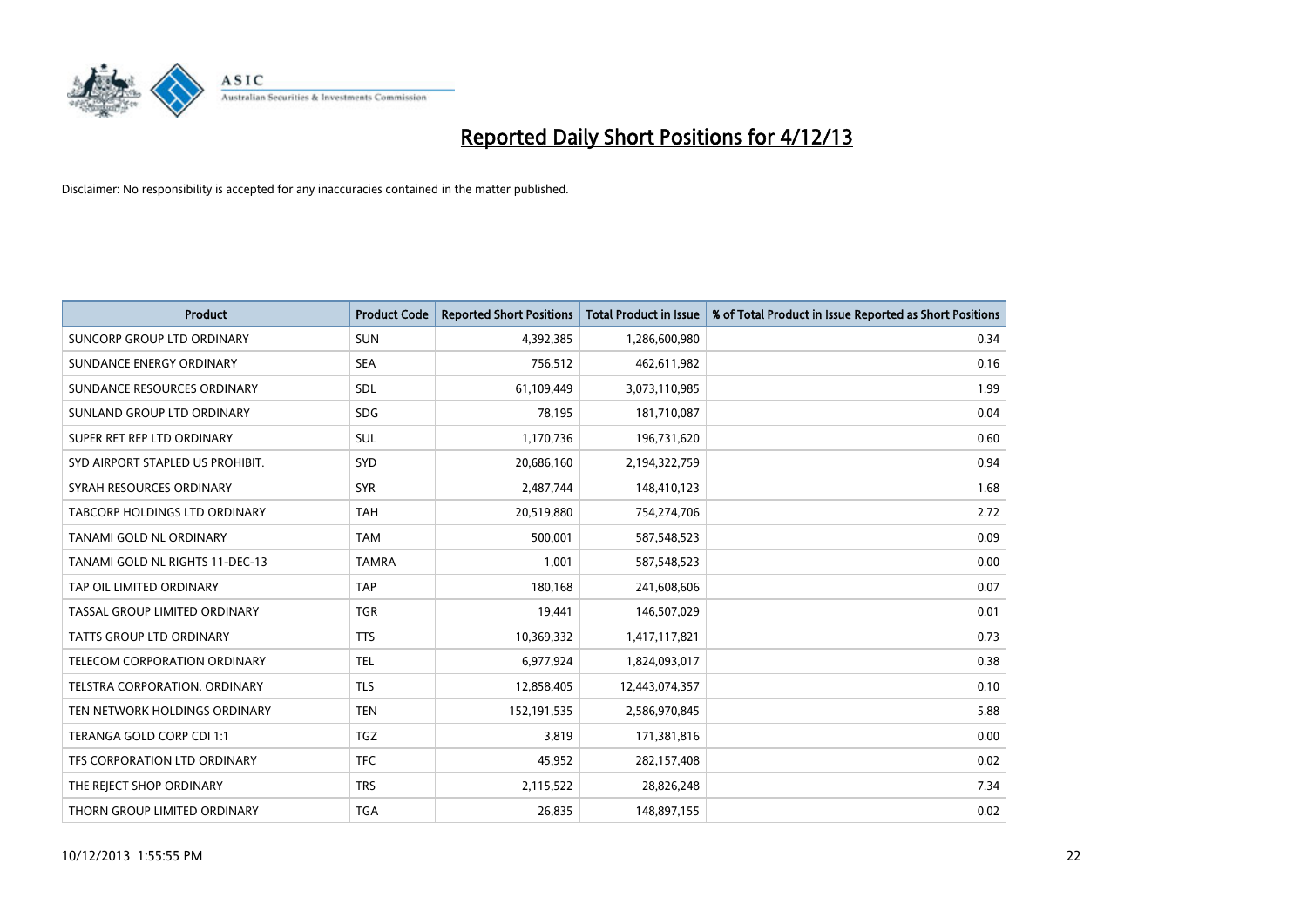

| <b>Product</b>                   | <b>Product Code</b> | <b>Reported Short Positions</b> | <b>Total Product in Issue</b> | % of Total Product in Issue Reported as Short Positions |
|----------------------------------|---------------------|---------------------------------|-------------------------------|---------------------------------------------------------|
| SUNCORP GROUP LTD ORDINARY       | <b>SUN</b>          | 4,392,385                       | 1,286,600,980                 | 0.34                                                    |
| SUNDANCE ENERGY ORDINARY         | <b>SEA</b>          | 756,512                         | 462,611,982                   | 0.16                                                    |
| SUNDANCE RESOURCES ORDINARY      | <b>SDL</b>          | 61,109,449                      | 3,073,110,985                 | 1.99                                                    |
| SUNLAND GROUP LTD ORDINARY       | <b>SDG</b>          | 78,195                          | 181,710,087                   | 0.04                                                    |
| SUPER RET REP LTD ORDINARY       | SUL                 | 1,170,736                       | 196,731,620                   | 0.60                                                    |
| SYD AIRPORT STAPLED US PROHIBIT. | <b>SYD</b>          | 20,686,160                      | 2,194,322,759                 | 0.94                                                    |
| SYRAH RESOURCES ORDINARY         | <b>SYR</b>          | 2,487,744                       | 148,410,123                   | 1.68                                                    |
| TABCORP HOLDINGS LTD ORDINARY    | <b>TAH</b>          | 20,519,880                      | 754,274,706                   | 2.72                                                    |
| <b>TANAMI GOLD NL ORDINARY</b>   | <b>TAM</b>          | 500,001                         | 587,548,523                   | 0.09                                                    |
| TANAMI GOLD NL RIGHTS 11-DEC-13  | <b>TAMRA</b>        | 1,001                           | 587,548,523                   | 0.00                                                    |
| TAP OIL LIMITED ORDINARY         | <b>TAP</b>          | 180,168                         | 241,608,606                   | 0.07                                                    |
| TASSAL GROUP LIMITED ORDINARY    | <b>TGR</b>          | 19,441                          | 146,507,029                   | 0.01                                                    |
| TATTS GROUP LTD ORDINARY         | <b>TTS</b>          | 10,369,332                      | 1,417,117,821                 | 0.73                                                    |
| TELECOM CORPORATION ORDINARY     | <b>TEL</b>          | 6,977,924                       | 1,824,093,017                 | 0.38                                                    |
| TELSTRA CORPORATION, ORDINARY    | <b>TLS</b>          | 12,858,405                      | 12,443,074,357                | 0.10                                                    |
| TEN NETWORK HOLDINGS ORDINARY    | <b>TEN</b>          | 152,191,535                     | 2,586,970,845                 | 5.88                                                    |
| TERANGA GOLD CORP CDI 1:1        | <b>TGZ</b>          | 3,819                           | 171,381,816                   | 0.00                                                    |
| TFS CORPORATION LTD ORDINARY     | <b>TFC</b>          | 45,952                          | 282,157,408                   | 0.02                                                    |
| THE REJECT SHOP ORDINARY         | <b>TRS</b>          | 2,115,522                       | 28,826,248                    | 7.34                                                    |
| THORN GROUP LIMITED ORDINARY     | <b>TGA</b>          | 26,835                          | 148,897,155                   | 0.02                                                    |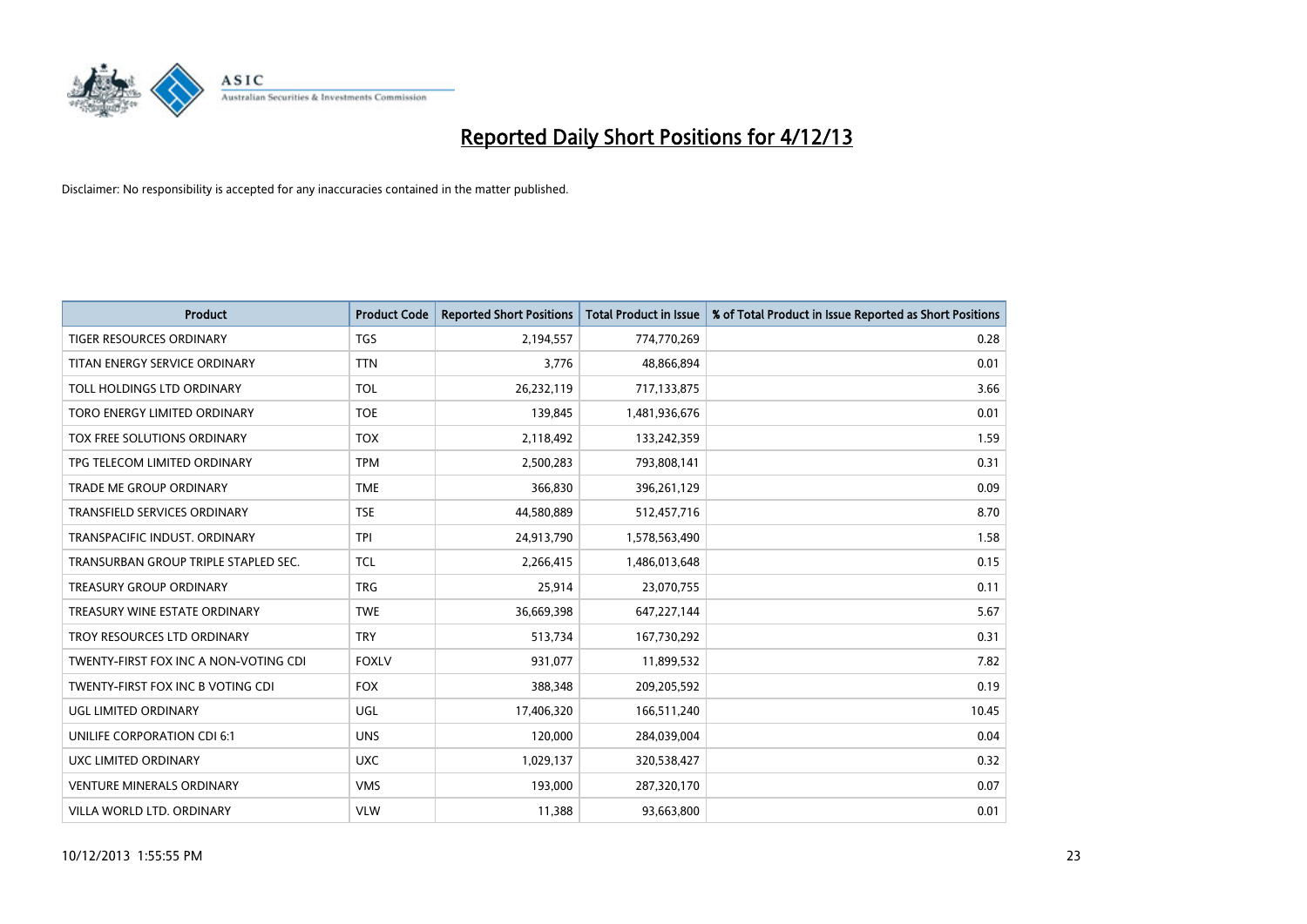

| <b>Product</b>                        | <b>Product Code</b> | <b>Reported Short Positions</b> | <b>Total Product in Issue</b> | % of Total Product in Issue Reported as Short Positions |
|---------------------------------------|---------------------|---------------------------------|-------------------------------|---------------------------------------------------------|
| <b>TIGER RESOURCES ORDINARY</b>       | <b>TGS</b>          | 2,194,557                       | 774,770,269                   | 0.28                                                    |
| TITAN ENERGY SERVICE ORDINARY         | <b>TTN</b>          | 3,776                           | 48,866,894                    | 0.01                                                    |
| TOLL HOLDINGS LTD ORDINARY            | <b>TOL</b>          | 26,232,119                      | 717,133,875                   | 3.66                                                    |
| TORO ENERGY LIMITED ORDINARY          | <b>TOE</b>          | 139,845                         | 1,481,936,676                 | 0.01                                                    |
| <b>TOX FREE SOLUTIONS ORDINARY</b>    | <b>TOX</b>          | 2,118,492                       | 133,242,359                   | 1.59                                                    |
| TPG TELECOM LIMITED ORDINARY          | <b>TPM</b>          | 2,500,283                       | 793,808,141                   | 0.31                                                    |
| TRADE ME GROUP ORDINARY               | <b>TME</b>          | 366,830                         | 396,261,129                   | 0.09                                                    |
| TRANSFIELD SERVICES ORDINARY          | <b>TSE</b>          | 44,580,889                      | 512,457,716                   | 8.70                                                    |
| TRANSPACIFIC INDUST, ORDINARY         | <b>TPI</b>          | 24,913,790                      | 1,578,563,490                 | 1.58                                                    |
| TRANSURBAN GROUP TRIPLE STAPLED SEC.  | <b>TCL</b>          | 2,266,415                       | 1,486,013,648                 | 0.15                                                    |
| TREASURY GROUP ORDINARY               | <b>TRG</b>          | 25,914                          | 23,070,755                    | 0.11                                                    |
| TREASURY WINE ESTATE ORDINARY         | <b>TWE</b>          | 36,669,398                      | 647,227,144                   | 5.67                                                    |
| TROY RESOURCES LTD ORDINARY           | <b>TRY</b>          | 513,734                         | 167,730,292                   | 0.31                                                    |
| TWENTY-FIRST FOX INC A NON-VOTING CDI | <b>FOXLV</b>        | 931,077                         | 11,899,532                    | 7.82                                                    |
| TWENTY-FIRST FOX INC B VOTING CDI     | <b>FOX</b>          | 388,348                         | 209,205,592                   | 0.19                                                    |
| UGL LIMITED ORDINARY                  | UGL                 | 17,406,320                      | 166,511,240                   | 10.45                                                   |
| UNILIFE CORPORATION CDI 6:1           | <b>UNS</b>          | 120,000                         | 284,039,004                   | 0.04                                                    |
| UXC LIMITED ORDINARY                  | <b>UXC</b>          | 1,029,137                       | 320,538,427                   | 0.32                                                    |
| <b>VENTURE MINERALS ORDINARY</b>      | <b>VMS</b>          | 193,000                         | 287,320,170                   | 0.07                                                    |
| VILLA WORLD LTD, ORDINARY             | <b>VLW</b>          | 11,388                          | 93,663,800                    | 0.01                                                    |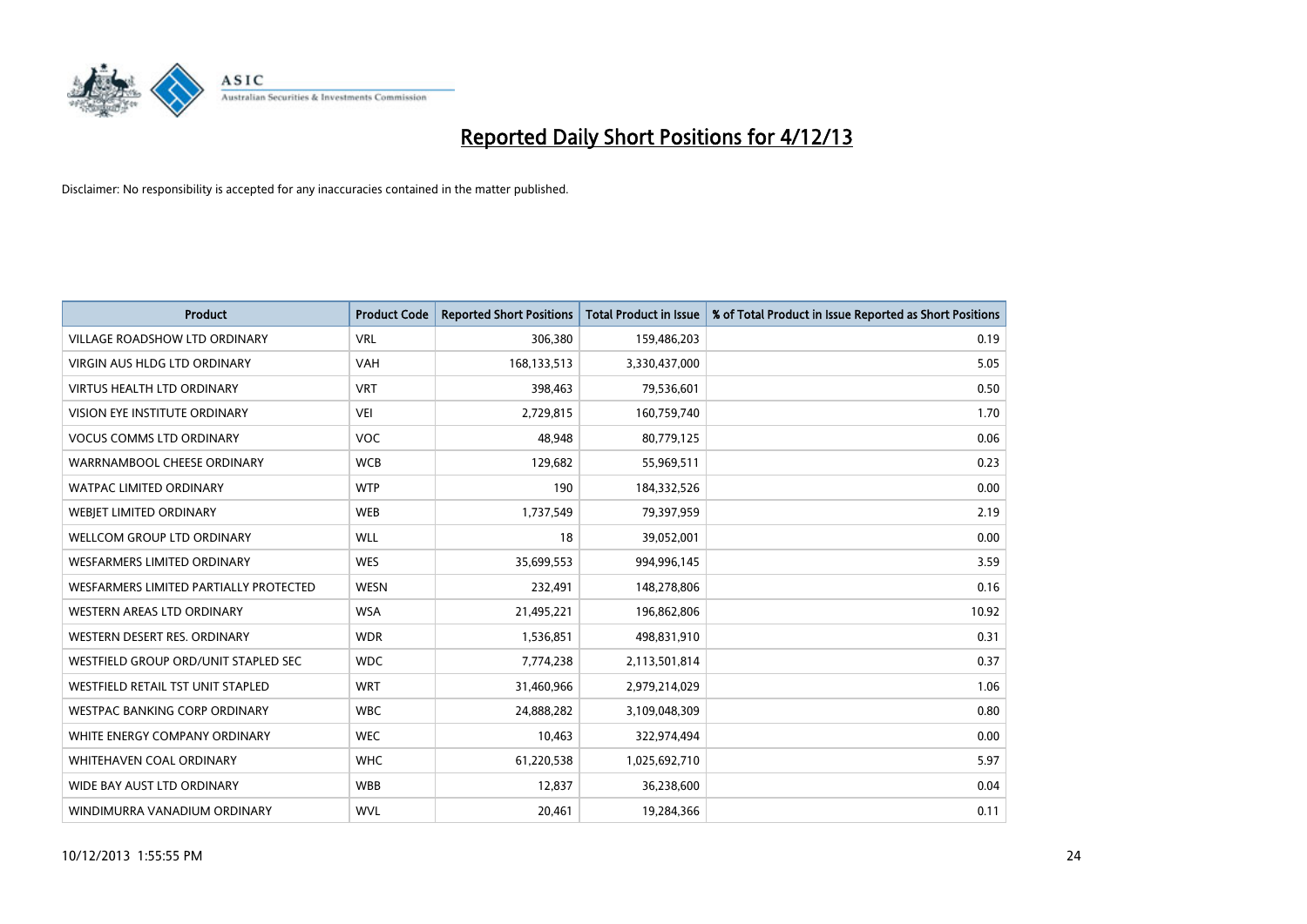

| <b>Product</b>                         | <b>Product Code</b> | <b>Reported Short Positions</b> | <b>Total Product in Issue</b> | % of Total Product in Issue Reported as Short Positions |
|----------------------------------------|---------------------|---------------------------------|-------------------------------|---------------------------------------------------------|
| <b>VILLAGE ROADSHOW LTD ORDINARY</b>   | <b>VRL</b>          | 306,380                         | 159,486,203                   | 0.19                                                    |
| <b>VIRGIN AUS HLDG LTD ORDINARY</b>    | <b>VAH</b>          | 168,133,513                     | 3,330,437,000                 | 5.05                                                    |
| <b>VIRTUS HEALTH LTD ORDINARY</b>      | <b>VRT</b>          | 398,463                         | 79,536,601                    | 0.50                                                    |
| VISION EYE INSTITUTE ORDINARY          | VEI                 | 2,729,815                       | 160,759,740                   | 1.70                                                    |
| <b>VOCUS COMMS LTD ORDINARY</b>        | <b>VOC</b>          | 48,948                          | 80,779,125                    | 0.06                                                    |
| WARRNAMBOOL CHEESE ORDINARY            | <b>WCB</b>          | 129,682                         | 55,969,511                    | 0.23                                                    |
| <b>WATPAC LIMITED ORDINARY</b>         | <b>WTP</b>          | 190                             | 184,332,526                   | 0.00                                                    |
| WEBJET LIMITED ORDINARY                | <b>WEB</b>          | 1,737,549                       | 79,397,959                    | 2.19                                                    |
| <b>WELLCOM GROUP LTD ORDINARY</b>      | <b>WLL</b>          | 18                              | 39,052,001                    | 0.00                                                    |
| <b>WESFARMERS LIMITED ORDINARY</b>     | <b>WES</b>          | 35,699,553                      | 994,996,145                   | 3.59                                                    |
| WESFARMERS LIMITED PARTIALLY PROTECTED | <b>WESN</b>         | 232,491                         | 148,278,806                   | 0.16                                                    |
| <b>WESTERN AREAS LTD ORDINARY</b>      | <b>WSA</b>          | 21,495,221                      | 196,862,806                   | 10.92                                                   |
| WESTERN DESERT RES. ORDINARY           | <b>WDR</b>          | 1,536,851                       | 498,831,910                   | 0.31                                                    |
| WESTFIELD GROUP ORD/UNIT STAPLED SEC   | <b>WDC</b>          | 7,774,238                       | 2,113,501,814                 | 0.37                                                    |
| WESTFIELD RETAIL TST UNIT STAPLED      | <b>WRT</b>          | 31,460,966                      | 2,979,214,029                 | 1.06                                                    |
| <b>WESTPAC BANKING CORP ORDINARY</b>   | <b>WBC</b>          | 24,888,282                      | 3,109,048,309                 | 0.80                                                    |
| WHITE ENERGY COMPANY ORDINARY          | <b>WEC</b>          | 10,463                          | 322,974,494                   | 0.00                                                    |
| <b>WHITEHAVEN COAL ORDINARY</b>        | <b>WHC</b>          | 61,220,538                      | 1,025,692,710                 | 5.97                                                    |
| WIDE BAY AUST LTD ORDINARY             | <b>WBB</b>          | 12,837                          | 36,238,600                    | 0.04                                                    |
| WINDIMURRA VANADIUM ORDINARY           | <b>WVL</b>          | 20,461                          | 19,284,366                    | 0.11                                                    |